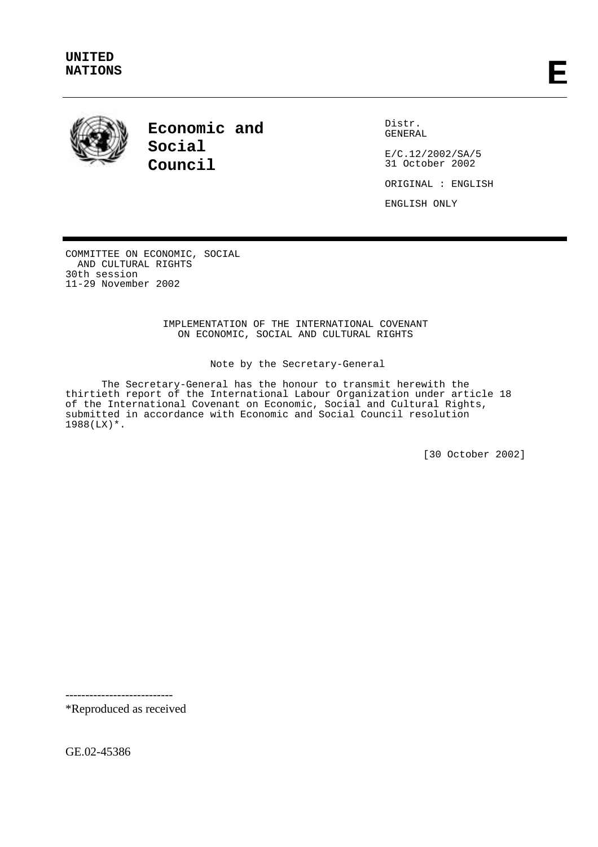

**Economic and Social Council**

Distr. GENERAL

E/C.12/2002/SA/5 31 October 2002

ORIGINAL : ENGLISH

ENGLISH ONLY

COMMITTEE ON ECONOMIC, SOCIAL AND CULTURAL RIGHTS 30th session 11-29 November 2002

> IMPLEMENTATION OF THE INTERNATIONAL COVENANT ON ECONOMIC, SOCIAL AND CULTURAL RIGHTS

#### Note by the Secretary-General

The Secretary-General has the honour to transmit herewith the thirtieth report of the International Labour Organization under article 18 of the International Covenant on Economic, Social and Cultural Rights, submitted in accordance with Economic and Social Council resolution 1988(LX)\*.

[30 October 2002]

---------------------------

\*Reproduced as received

GE.02-45386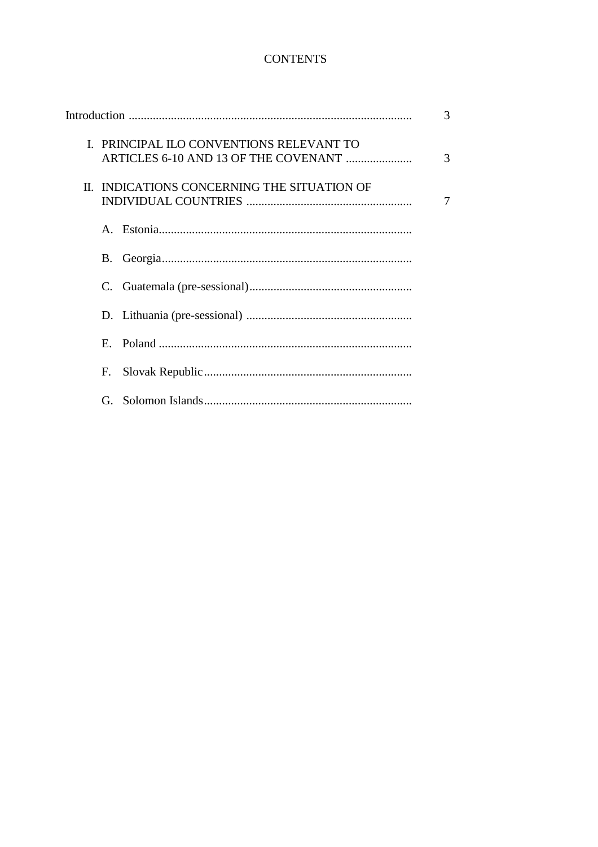## **CONTENTS**

|             |                                             | 3 |
|-------------|---------------------------------------------|---|
|             | I. PRINCIPAL ILO CONVENTIONS RELEVANT TO    | 3 |
|             | II. INDICATIONS CONCERNING THE SITUATION OF | 7 |
|             |                                             |   |
| B.          |                                             |   |
| C.          |                                             |   |
|             |                                             |   |
| $E_{\rm c}$ |                                             |   |
| F.          |                                             |   |
|             |                                             |   |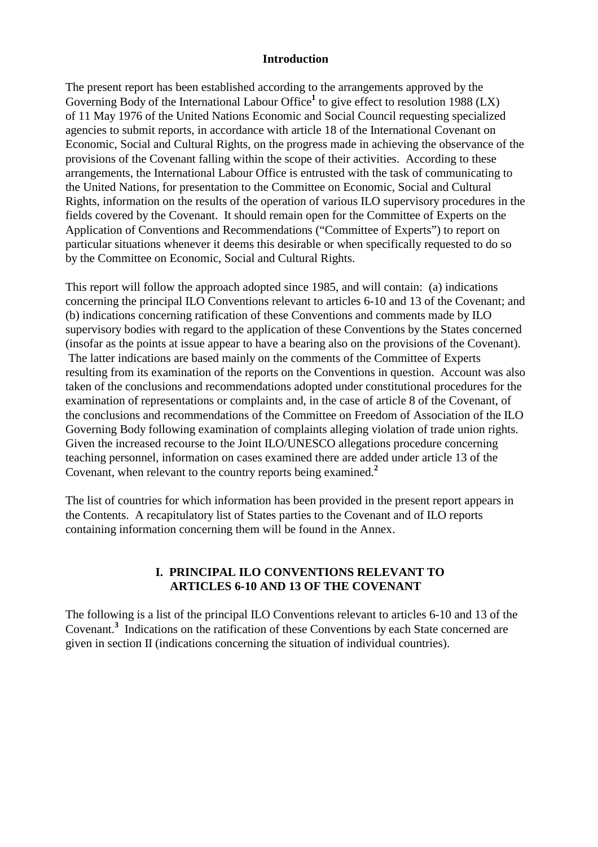#### **Introduction**

The present report has been established according to the arrangements approved by the Governing Body of the International Labour Office<sup>1</sup> to give effect to resolution 1988 (LX) of 11 May 1976 of the United Nations Economic and Social Council requesting specialized agencies to submit reports, in accordance with article 18 of the International Covenant on Economic, Social and Cultural Rights, on the progress made in achieving the observance of the provisions of the Covenant falling within the scope of their activities. According to these arrangements, the International Labour Office is entrusted with the task of communicating to the United Nations, for presentation to the Committee on Economic, Social and Cultural Rights, information on the results of the operation of various ILO supervisory procedures in the fields covered by the Covenant. It should remain open for the Committee of Experts on the Application of Conventions and Recommendations ("Committee of Experts") to report on particular situations whenever it deems this desirable or when specifically requested to do so by the Committee on Economic, Social and Cultural Rights.

This report will follow the approach adopted since 1985, and will contain: (a) indications concerning the principal ILO Conventions relevant to articles 6-10 and 13 of the Covenant; and (b) indications concerning ratification of these Conventions and comments made by ILO supervisory bodies with regard to the application of these Conventions by the States concerned (insofar as the points at issue appear to have a bearing also on the provisions of the Covenant). The latter indications are based mainly on the comments of the Committee of Experts resulting from its examination of the reports on the Conventions in question. Account was also taken of the conclusions and recommendations adopted under constitutional procedures for the examination of representations or complaints and, in the case of article 8 of the Covenant, of the conclusions and recommendations of the Committee on Freedom of Association of the ILO Governing Body following examination of complaints alleging violation of trade union rights. Given the increased recourse to the Joint ILO/UNESCO allegations procedure concerning teaching personnel, information on cases examined there are added under article 13 of the Covenant, when relevant to the country reports being examined.**<sup>2</sup>**

The list of countries for which information has been provided in the present report appears in the Contents. A recapitulatory list of States parties to the Covenant and of ILO reports containing information concerning them will be found in the Annex.

## **I. PRINCIPAL ILO CONVENTIONS RELEVANT TO ARTICLES 6-10 AND 13 OF THE COVENANT**

The following is a list of the principal ILO Conventions relevant to articles 6-10 and 13 of the Covenant.**<sup>3</sup>** Indications on the ratification of these Conventions by each State concerned are given in section II (indications concerning the situation of individual countries).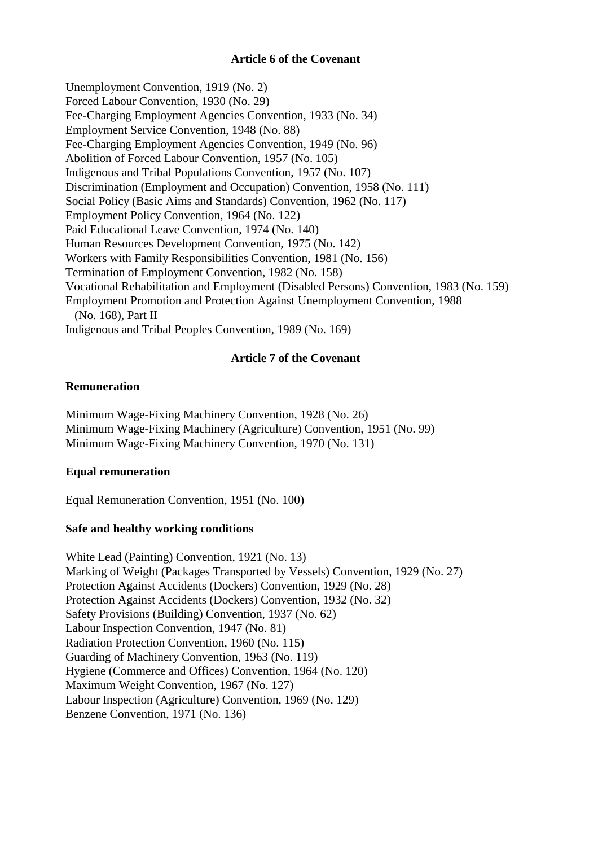#### **Article 6 of the Covenant**

Unemployment Convention, 1919 (No. 2) Forced Labour Convention, 1930 (No. 29) Fee-Charging Employment Agencies Convention, 1933 (No. 34) Employment Service Convention, 1948 (No. 88) Fee-Charging Employment Agencies Convention, 1949 (No. 96) Abolition of Forced Labour Convention, 1957 (No. 105) Indigenous and Tribal Populations Convention, 1957 (No. 107) Discrimination (Employment and Occupation) Convention, 1958 (No. 111) Social Policy (Basic Aims and Standards) Convention, 1962 (No. 117) Employment Policy Convention, 1964 (No. 122) Paid Educational Leave Convention, 1974 (No. 140) Human Resources Development Convention, 1975 (No. 142) Workers with Family Responsibilities Convention, 1981 (No. 156) Termination of Employment Convention, 1982 (No. 158) Vocational Rehabilitation and Employment (Disabled Persons) Convention, 1983 (No. 159) Employment Promotion and Protection Against Unemployment Convention, 1988 (No. 168), Part II Indigenous and Tribal Peoples Convention, 1989 (No. 169)

#### **Article 7 of the Covenant**

#### **Remuneration**

Minimum Wage-Fixing Machinery Convention, 1928 (No. 26) Minimum Wage-Fixing Machinery (Agriculture) Convention, 1951 (No. 99) Minimum Wage-Fixing Machinery Convention, 1970 (No. 131)

## **Equal remuneration**

Equal Remuneration Convention, 1951 (No. 100)

## **Safe and healthy working conditions**

White Lead (Painting) Convention, 1921 (No. 13) Marking of Weight (Packages Transported by Vessels) Convention, 1929 (No. 27) Protection Against Accidents (Dockers) Convention, 1929 (No. 28) Protection Against Accidents (Dockers) Convention, 1932 (No. 32) Safety Provisions (Building) Convention, 1937 (No. 62) Labour Inspection Convention, 1947 (No. 81) Radiation Protection Convention, 1960 (No. 115) Guarding of Machinery Convention, 1963 (No. 119) Hygiene (Commerce and Offices) Convention, 1964 (No. 120) Maximum Weight Convention, 1967 (No. 127) Labour Inspection (Agriculture) Convention, 1969 (No. 129) Benzene Convention, 1971 (No. 136)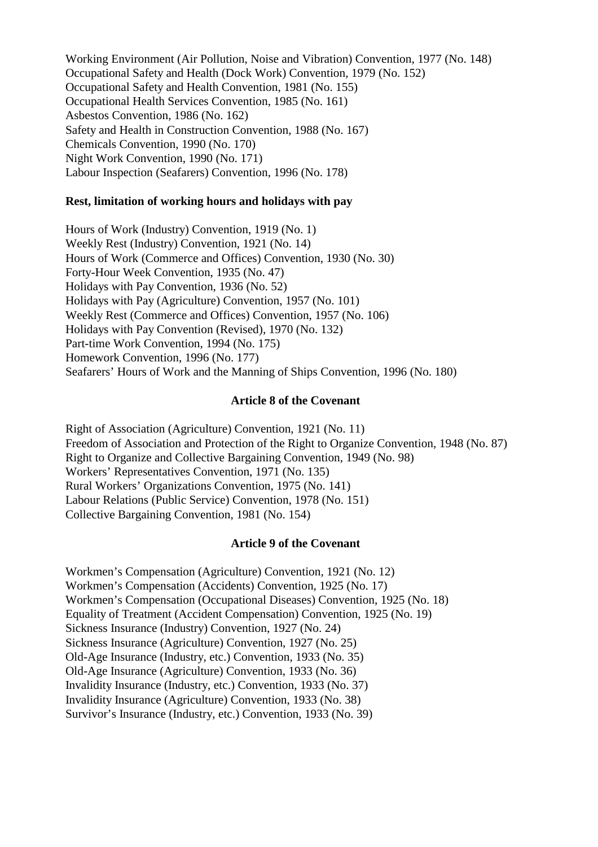Working Environment (Air Pollution, Noise and Vibration) Convention, 1977 (No. 148) Occupational Safety and Health (Dock Work) Convention, 1979 (No. 152) Occupational Safety and Health Convention, 1981 (No. 155) Occupational Health Services Convention, 1985 (No. 161) Asbestos Convention, 1986 (No. 162) Safety and Health in Construction Convention, 1988 (No. 167) Chemicals Convention, 1990 (No. 170) Night Work Convention, 1990 (No. 171) Labour Inspection (Seafarers) Convention, 1996 (No. 178)

#### **Rest, limitation of working hours and holidays with pay**

Hours of Work (Industry) Convention, 1919 (No. 1) Weekly Rest (Industry) Convention, 1921 (No. 14) Hours of Work (Commerce and Offices) Convention, 1930 (No. 30) Forty-Hour Week Convention, 1935 (No. 47) Holidays with Pay Convention, 1936 (No. 52) Holidays with Pay (Agriculture) Convention, 1957 (No. 101) Weekly Rest (Commerce and Offices) Convention, 1957 (No. 106) Holidays with Pay Convention (Revised), 1970 (No. 132) Part-time Work Convention, 1994 (No. 175) Homework Convention, 1996 (No. 177) Seafarers' Hours of Work and the Manning of Ships Convention, 1996 (No. 180)

#### **Article 8 of the Covenant**

Right of Association (Agriculture) Convention, 1921 (No. 11) Freedom of Association and Protection of the Right to Organize Convention, 1948 (No. 87) Right to Organize and Collective Bargaining Convention, 1949 (No. 98) Workers' Representatives Convention, 1971 (No. 135) Rural Workers' Organizations Convention, 1975 (No. 141) Labour Relations (Public Service) Convention, 1978 (No. 151) Collective Bargaining Convention, 1981 (No. 154)

#### **Article 9 of the Covenant**

Workmen's Compensation (Agriculture) Convention, 1921 (No. 12) Workmen's Compensation (Accidents) Convention, 1925 (No. 17) Workmen's Compensation (Occupational Diseases) Convention, 1925 (No. 18) Equality of Treatment (Accident Compensation) Convention, 1925 (No. 19) Sickness Insurance (Industry) Convention, 1927 (No. 24) Sickness Insurance (Agriculture) Convention, 1927 (No. 25) Old-Age Insurance (Industry, etc.) Convention, 1933 (No. 35) Old-Age Insurance (Agriculture) Convention, 1933 (No. 36) Invalidity Insurance (Industry, etc.) Convention, 1933 (No. 37) Invalidity Insurance (Agriculture) Convention, 1933 (No. 38) Survivor's Insurance (Industry, etc.) Convention, 1933 (No. 39)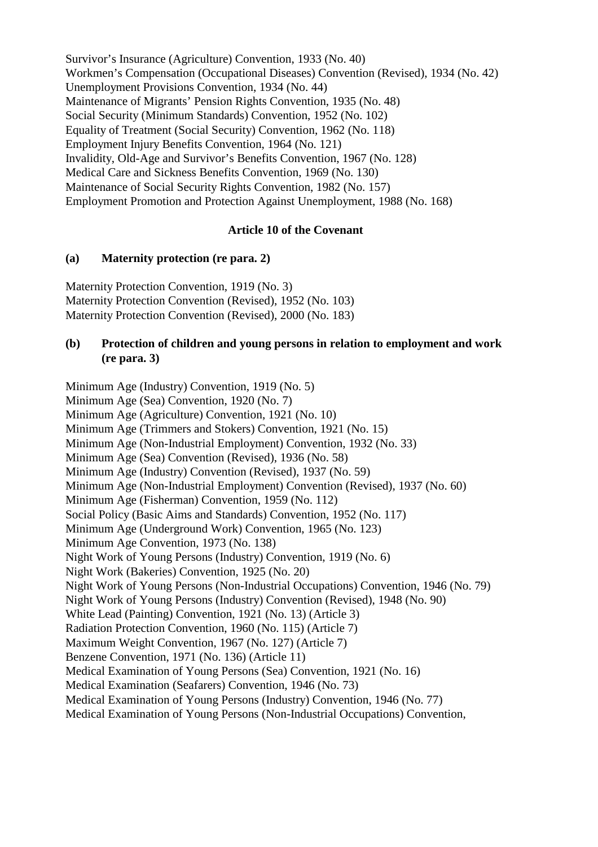Survivor's Insurance (Agriculture) Convention, 1933 (No. 40) Workmen's Compensation (Occupational Diseases) Convention (Revised), 1934 (No. 42) Unemployment Provisions Convention, 1934 (No. 44) Maintenance of Migrants' Pension Rights Convention, 1935 (No. 48) Social Security (Minimum Standards) Convention, 1952 (No. 102) Equality of Treatment (Social Security) Convention, 1962 (No. 118) Employment Injury Benefits Convention, 1964 (No. 121) Invalidity, Old-Age and Survivor's Benefits Convention, 1967 (No. 128) Medical Care and Sickness Benefits Convention, 1969 (No. 130) Maintenance of Social Security Rights Convention, 1982 (No. 157) Employment Promotion and Protection Against Unemployment, 1988 (No. 168)

## **Article 10 of the Covenant**

#### **(a) Maternity protection (re para. 2)**

Maternity Protection Convention, 1919 (No. 3) Maternity Protection Convention (Revised), 1952 (No. 103) Maternity Protection Convention (Revised), 2000 (No. 183)

#### **(b) Protection of children and young persons in relation to employment and work (re para. 3)**

Minimum Age (Industry) Convention, 1919 (No. 5) Minimum Age (Sea) Convention, 1920 (No. 7) Minimum Age (Agriculture) Convention, 1921 (No. 10) Minimum Age (Trimmers and Stokers) Convention, 1921 (No. 15) Minimum Age (Non-Industrial Employment) Convention, 1932 (No. 33) Minimum Age (Sea) Convention (Revised), 1936 (No. 58) Minimum Age (Industry) Convention (Revised), 1937 (No. 59) Minimum Age (Non-Industrial Employment) Convention (Revised), 1937 (No. 60) Minimum Age (Fisherman) Convention, 1959 (No. 112) Social Policy (Basic Aims and Standards) Convention, 1952 (No. 117) Minimum Age (Underground Work) Convention, 1965 (No. 123) Minimum Age Convention, 1973 (No. 138) Night Work of Young Persons (Industry) Convention, 1919 (No. 6) Night Work (Bakeries) Convention, 1925 (No. 20) Night Work of Young Persons (Non-Industrial Occupations) Convention, 1946 (No. 79) Night Work of Young Persons (Industry) Convention (Revised), 1948 (No. 90) White Lead (Painting) Convention, 1921 (No. 13) (Article 3) Radiation Protection Convention, 1960 (No. 115) (Article 7) Maximum Weight Convention, 1967 (No. 127) (Article 7) Benzene Convention, 1971 (No. 136) (Article 11) Medical Examination of Young Persons (Sea) Convention, 1921 (No. 16) Medical Examination (Seafarers) Convention, 1946 (No. 73) Medical Examination of Young Persons (Industry) Convention, 1946 (No. 77) Medical Examination of Young Persons (Non-Industrial Occupations) Convention,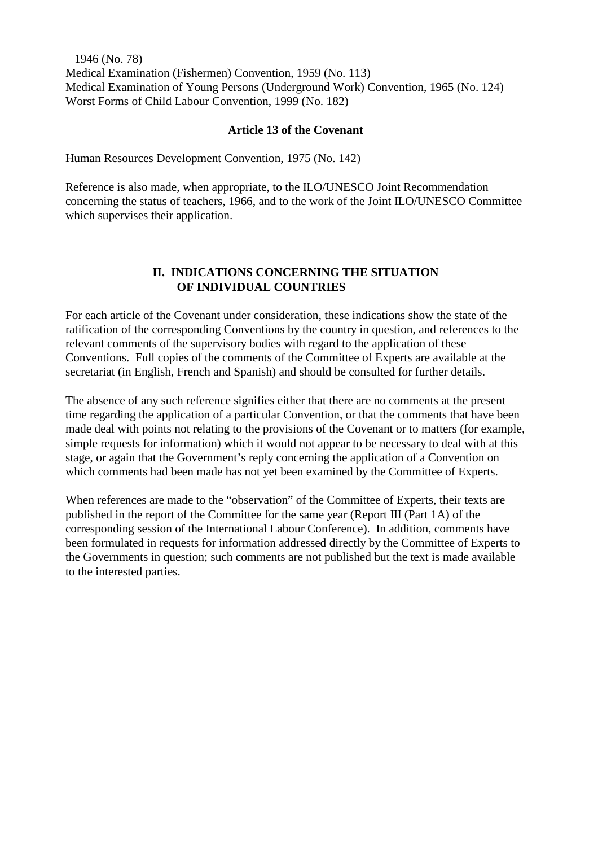1946 (No. 78) Medical Examination (Fishermen) Convention, 1959 (No. 113) Medical Examination of Young Persons (Underground Work) Convention, 1965 (No. 124) Worst Forms of Child Labour Convention, 1999 (No. 182)

#### **Article 13 of the Covenant**

Human Resources Development Convention, 1975 (No. 142)

Reference is also made, when appropriate, to the ILO/UNESCO Joint Recommendation concerning the status of teachers, 1966, and to the work of the Joint ILO/UNESCO Committee which supervises their application.

#### **II. INDICATIONS CONCERNING THE SITUATION OF INDIVIDUAL COUNTRIES**

For each article of the Covenant under consideration, these indications show the state of the ratification of the corresponding Conventions by the country in question, and references to the relevant comments of the supervisory bodies with regard to the application of these Conventions. Full copies of the comments of the Committee of Experts are available at the secretariat (in English, French and Spanish) and should be consulted for further details.

The absence of any such reference signifies either that there are no comments at the present time regarding the application of a particular Convention, or that the comments that have been made deal with points not relating to the provisions of the Covenant or to matters (for example, simple requests for information) which it would not appear to be necessary to deal with at this stage, or again that the Government's reply concerning the application of a Convention on which comments had been made has not yet been examined by the Committee of Experts.

When references are made to the "observation" of the Committee of Experts, their texts are published in the report of the Committee for the same year (Report III (Part 1A) of the corresponding session of the International Labour Conference). In addition, comments have been formulated in requests for information addressed directly by the Committee of Experts to the Governments in question; such comments are not published but the text is made available to the interested parties.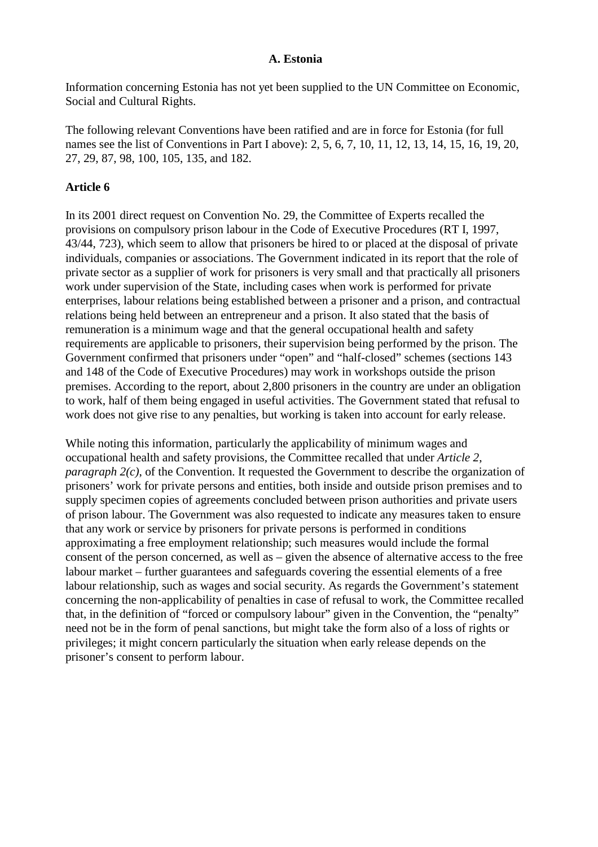#### **A. Estonia**

Information concerning Estonia has not yet been supplied to the UN Committee on Economic, Social and Cultural Rights.

The following relevant Conventions have been ratified and are in force for Estonia (for full names see the list of Conventions in Part I above): 2, 5, 6, 7, 10, 11, 12, 13, 14, 15, 16, 19, 20, 27, 29, 87, 98, 100, 105, 135, and 182.

#### **Article 6**

In its 2001 direct request on Convention No. 29, the Committee of Experts recalled the provisions on compulsory prison labour in the Code of Executive Procedures (RT I, 1997, 43/44, 723), which seem to allow that prisoners be hired to or placed at the disposal of private individuals, companies or associations. The Government indicated in its report that the role of private sector as a supplier of work for prisoners is very small and that practically all prisoners work under supervision of the State, including cases when work is performed for private enterprises, labour relations being established between a prisoner and a prison, and contractual relations being held between an entrepreneur and a prison. It also stated that the basis of remuneration is a minimum wage and that the general occupational health and safety requirements are applicable to prisoners, their supervision being performed by the prison. The Government confirmed that prisoners under "open" and "half-closed" schemes (sections 143 and 148 of the Code of Executive Procedures) may work in workshops outside the prison premises. According to the report, about 2,800 prisoners in the country are under an obligation to work, half of them being engaged in useful activities. The Government stated that refusal to work does not give rise to any penalties, but working is taken into account for early release.

While noting this information, particularly the applicability of minimum wages and occupational health and safety provisions, the Committee recalled that under *Article 2*, *paragraph 2(c)*, of the Convention. It requested the Government to describe the organization of prisoners' work for private persons and entities, both inside and outside prison premises and to supply specimen copies of agreements concluded between prison authorities and private users of prison labour. The Government was also requested to indicate any measures taken to ensure that any work or service by prisoners for private persons is performed in conditions approximating a free employment relationship; such measures would include the formal consent of the person concerned, as well as – given the absence of alternative access to the free labour market – further guarantees and safeguards covering the essential elements of a free labour relationship, such as wages and social security. As regards the Government's statement concerning the non-applicability of penalties in case of refusal to work, the Committee recalled that, in the definition of "forced or compulsory labour" given in the Convention, the "penalty" need not be in the form of penal sanctions, but might take the form also of a loss of rights or privileges; it might concern particularly the situation when early release depends on the prisoner's consent to perform labour.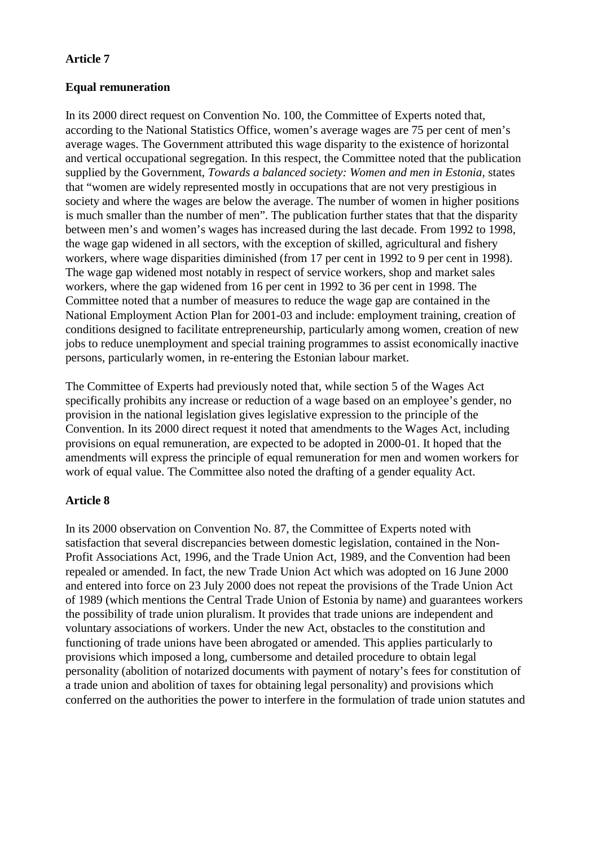## **Article 7**

## **Equal remuneration**

In its 2000 direct request on Convention No. 100, the Committee of Experts noted that, according to the National Statistics Office, women's average wages are 75 per cent of men's average wages. The Government attributed this wage disparity to the existence of horizontal and vertical occupational segregation. In this respect, the Committee noted that the publication supplied by the Government, *Towards a balanced society: Women and men in Estonia,* states that "women are widely represented mostly in occupations that are not very prestigious in society and where the wages are below the average. The number of women in higher positions is much smaller than the number of men". The publication further states that that the disparity between men's and women's wages has increased during the last decade. From 1992 to 1998, the wage gap widened in all sectors, with the exception of skilled, agricultural and fishery workers, where wage disparities diminished (from 17 per cent in 1992 to 9 per cent in 1998). The wage gap widened most notably in respect of service workers, shop and market sales workers, where the gap widened from 16 per cent in 1992 to 36 per cent in 1998. The Committee noted that a number of measures to reduce the wage gap are contained in the National Employment Action Plan for 2001-03 and include: employment training, creation of conditions designed to facilitate entrepreneurship, particularly among women, creation of new jobs to reduce unemployment and special training programmes to assist economically inactive persons, particularly women, in re-entering the Estonian labour market.

The Committee of Experts had previously noted that, while section 5 of the Wages Act specifically prohibits any increase or reduction of a wage based on an employee's gender, no provision in the national legislation gives legislative expression to the principle of the Convention. In its 2000 direct request it noted that amendments to the Wages Act, including provisions on equal remuneration, are expected to be adopted in 2000-01. It hoped that the amendments will express the principle of equal remuneration for men and women workers for work of equal value. The Committee also noted the drafting of a gender equality Act.

## **Article 8**

In its 2000 observation on Convention No. 87, the Committee of Experts noted with satisfaction that several discrepancies between domestic legislation, contained in the Non-Profit Associations Act, 1996, and the Trade Union Act, 1989, and the Convention had been repealed or amended. In fact, the new Trade Union Act which was adopted on 16 June 2000 and entered into force on 23 July 2000 does not repeat the provisions of the Trade Union Act of 1989 (which mentions the Central Trade Union of Estonia by name) and guarantees workers the possibility of trade union pluralism. It provides that trade unions are independent and voluntary associations of workers. Under the new Act, obstacles to the constitution and functioning of trade unions have been abrogated or amended. This applies particularly to provisions which imposed a long, cumbersome and detailed procedure to obtain legal personality (abolition of notarized documents with payment of notary's fees for constitution of a trade union and abolition of taxes for obtaining legal personality) and provisions which conferred on the authorities the power to interfere in the formulation of trade union statutes and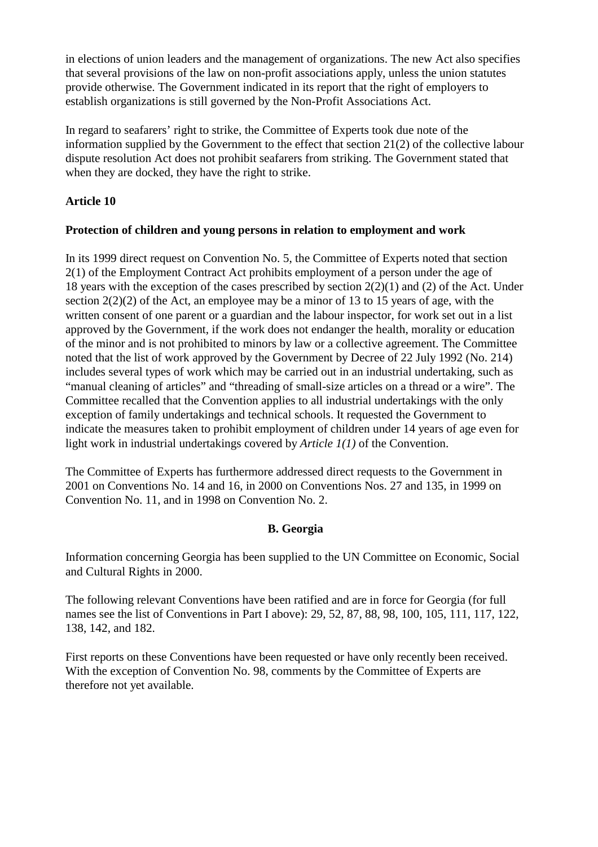in elections of union leaders and the management of organizations. The new Act also specifies that several provisions of the law on non-profit associations apply, unless the union statutes provide otherwise. The Government indicated in its report that the right of employers to establish organizations is still governed by the Non-Profit Associations Act.

In regard to seafarers' right to strike, the Committee of Experts took due note of the information supplied by the Government to the effect that section 21(2) of the collective labour dispute resolution Act does not prohibit seafarers from striking. The Government stated that when they are docked, they have the right to strike.

## **Article 10**

## **Protection of children and young persons in relation to employment and work**

In its 1999 direct request on Convention No. 5, the Committee of Experts noted that section 2(1) of the Employment Contract Act prohibits employment of a person under the age of 18 years with the exception of the cases prescribed by section 2(2)(1) and (2) of the Act. Under section  $2(2)(2)$  of the Act, an employee may be a minor of 13 to 15 years of age, with the written consent of one parent or a guardian and the labour inspector, for work set out in a list approved by the Government, if the work does not endanger the health, morality or education of the minor and is not prohibited to minors by law or a collective agreement. The Committee noted that the list of work approved by the Government by Decree of 22 July 1992 (No. 214) includes several types of work which may be carried out in an industrial undertaking, such as "manual cleaning of articles" and "threading of small-size articles on a thread or a wire". The Committee recalled that the Convention applies to all industrial undertakings with the only exception of family undertakings and technical schools. It requested the Government to indicate the measures taken to prohibit employment of children under 14 years of age even for light work in industrial undertakings covered by *Article 1(1)* of the Convention.

The Committee of Experts has furthermore addressed direct requests to the Government in 2001 on Conventions No. 14 and 16, in 2000 on Conventions Nos. 27 and 135, in 1999 on Convention No. 11, and in 1998 on Convention No. 2.

## **B. Georgia**

Information concerning Georgia has been supplied to the UN Committee on Economic, Social and Cultural Rights in 2000.

The following relevant Conventions have been ratified and are in force for Georgia (for full names see the list of Conventions in Part I above): 29, 52, 87, 88, 98, 100, 105, 111, 117, 122, 138, 142, and 182.

First reports on these Conventions have been requested or have only recently been received. With the exception of Convention No. 98, comments by the Committee of Experts are therefore not yet available.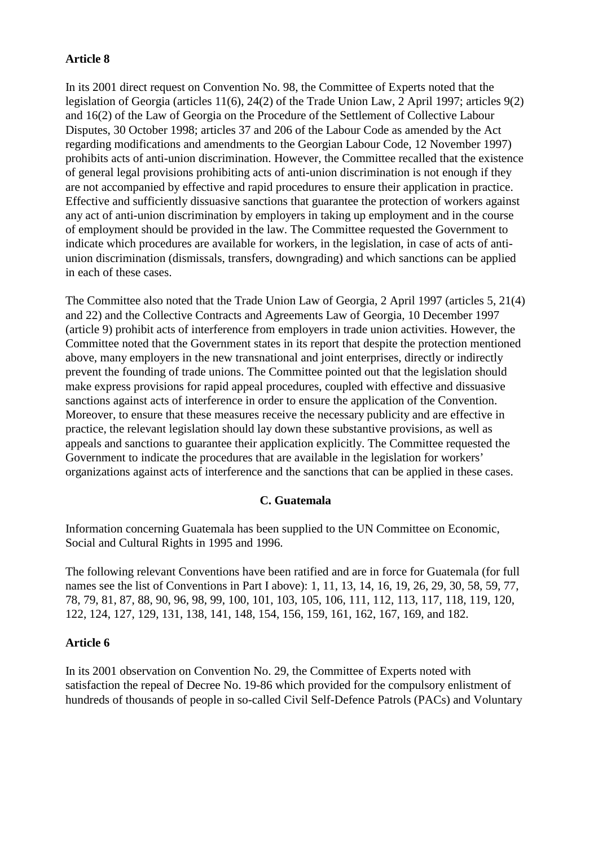## **Article 8**

In its 2001 direct request on Convention No. 98, the Committee of Experts noted that the legislation of Georgia (articles 11(6), 24(2) of the Trade Union Law, 2 April 1997; articles 9(2) and 16(2) of the Law of Georgia on the Procedure of the Settlement of Collective Labour Disputes, 30 October 1998; articles 37 and 206 of the Labour Code as amended by the Act regarding modifications and amendments to the Georgian Labour Code, 12 November 1997) prohibits acts of anti-union discrimination. However, the Committee recalled that the existence of general legal provisions prohibiting acts of anti-union discrimination is not enough if they are not accompanied by effective and rapid procedures to ensure their application in practice. Effective and sufficiently dissuasive sanctions that guarantee the protection of workers against any act of anti-union discrimination by employers in taking up employment and in the course of employment should be provided in the law. The Committee requested the Government to indicate which procedures are available for workers, in the legislation, in case of acts of antiunion discrimination (dismissals, transfers, downgrading) and which sanctions can be applied in each of these cases.

The Committee also noted that the Trade Union Law of Georgia, 2 April 1997 (articles 5, 21(4) and 22) and the Collective Contracts and Agreements Law of Georgia, 10 December 1997 (article 9) prohibit acts of interference from employers in trade union activities. However, the Committee noted that the Government states in its report that despite the protection mentioned above, many employers in the new transnational and joint enterprises, directly or indirectly prevent the founding of trade unions. The Committee pointed out that the legislation should make express provisions for rapid appeal procedures, coupled with effective and dissuasive sanctions against acts of interference in order to ensure the application of the Convention. Moreover, to ensure that these measures receive the necessary publicity and are effective in practice, the relevant legislation should lay down these substantive provisions, as well as appeals and sanctions to guarantee their application explicitly. The Committee requested the Government to indicate the procedures that are available in the legislation for workers' organizations against acts of interference and the sanctions that can be applied in these cases.

## **C. Guatemala**

Information concerning Guatemala has been supplied to the UN Committee on Economic, Social and Cultural Rights in 1995 and 1996.

The following relevant Conventions have been ratified and are in force for Guatemala (for full names see the list of Conventions in Part I above): 1, 11, 13, 14, 16, 19, 26, 29, 30, 58, 59, 77, 78, 79, 81, 87, 88, 90, 96, 98, 99, 100, 101, 103, 105, 106, 111, 112, 113, 117, 118, 119, 120, 122, 124, 127, 129, 131, 138, 141, 148, 154, 156, 159, 161, 162, 167, 169, and 182.

## **Article 6**

In its 2001 observation on Convention No. 29, the Committee of Experts noted with satisfaction the repeal of Decree No. 19-86 which provided for the compulsory enlistment of hundreds of thousands of people in so-called Civil Self-Defence Patrols (PACs) and Voluntary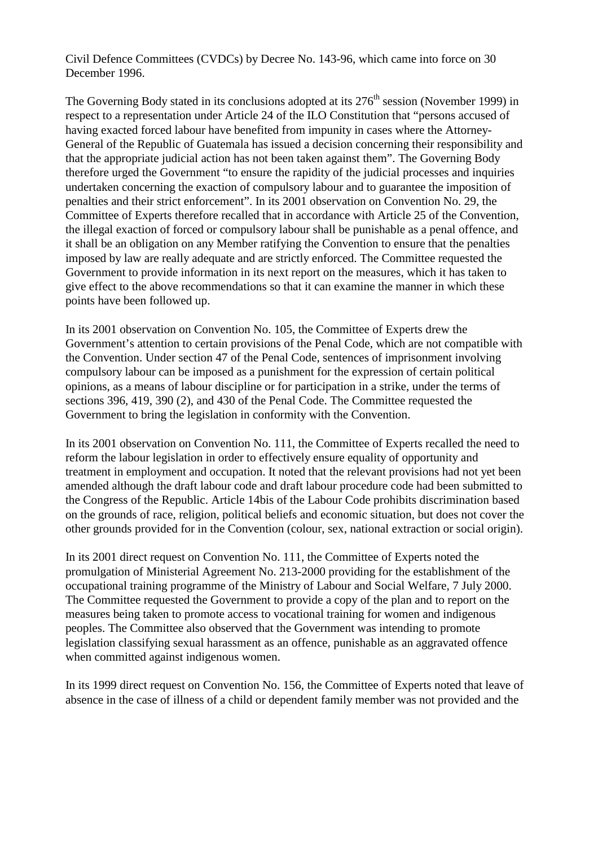Civil Defence Committees (CVDCs) by Decree No. 143-96, which came into force on 30 December 1996.

The Governing Body stated in its conclusions adopted at its  $276<sup>th</sup>$  session (November 1999) in respect to a representation under Article 24 of the ILO Constitution that "persons accused of having exacted forced labour have benefited from impunity in cases where the Attorney-General of the Republic of Guatemala has issued a decision concerning their responsibility and that the appropriate judicial action has not been taken against them". The Governing Body therefore urged the Government "to ensure the rapidity of the judicial processes and inquiries undertaken concerning the exaction of compulsory labour and to guarantee the imposition of penalties and their strict enforcement". In its 2001 observation on Convention No. 29, the Committee of Experts therefore recalled that in accordance with Article 25 of the Convention, the illegal exaction of forced or compulsory labour shall be punishable as a penal offence, and it shall be an obligation on any Member ratifying the Convention to ensure that the penalties imposed by law are really adequate and are strictly enforced. The Committee requested the Government to provide information in its next report on the measures, which it has taken to give effect to the above recommendations so that it can examine the manner in which these points have been followed up.

In its 2001 observation on Convention No. 105, the Committee of Experts drew the Government's attention to certain provisions of the Penal Code, which are not compatible with the Convention. Under section 47 of the Penal Code, sentences of imprisonment involving compulsory labour can be imposed as a punishment for the expression of certain political opinions, as a means of labour discipline or for participation in a strike, under the terms of sections 396, 419, 390 (2), and 430 of the Penal Code. The Committee requested the Government to bring the legislation in conformity with the Convention.

In its 2001 observation on Convention No. 111, the Committee of Experts recalled the need to reform the labour legislation in order to effectively ensure equality of opportunity and treatment in employment and occupation. It noted that the relevant provisions had not yet been amended although the draft labour code and draft labour procedure code had been submitted to the Congress of the Republic. Article 14bis of the Labour Code prohibits discrimination based on the grounds of race, religion, political beliefs and economic situation, but does not cover the other grounds provided for in the Convention (colour, sex, national extraction or social origin).

In its 2001 direct request on Convention No. 111, the Committee of Experts noted the promulgation of Ministerial Agreement No. 213-2000 providing for the establishment of the occupational training programme of the Ministry of Labour and Social Welfare, 7 July 2000. The Committee requested the Government to provide a copy of the plan and to report on the measures being taken to promote access to vocational training for women and indigenous peoples. The Committee also observed that the Government was intending to promote legislation classifying sexual harassment as an offence, punishable as an aggravated offence when committed against indigenous women.

In its 1999 direct request on Convention No. 156, the Committee of Experts noted that leave of absence in the case of illness of a child or dependent family member was not provided and the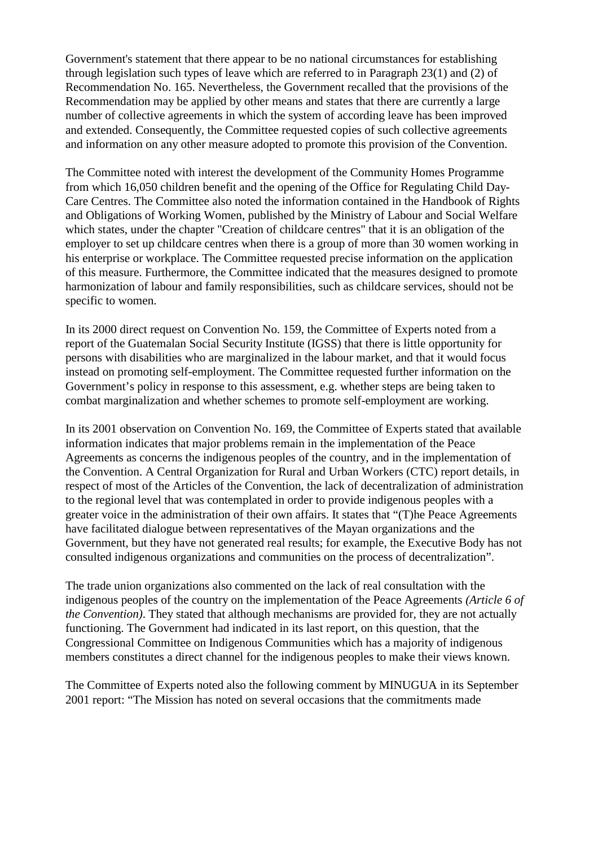Government's statement that there appear to be no national circumstances for establishing through legislation such types of leave which are referred to in Paragraph 23(1) and (2) of Recommendation No. 165. Nevertheless, the Government recalled that the provisions of the Recommendation may be applied by other means and states that there are currently a large number of collective agreements in which the system of according leave has been improved and extended. Consequently, the Committee requested copies of such collective agreements and information on any other measure adopted to promote this provision of the Convention.

The Committee noted with interest the development of the Community Homes Programme from which 16,050 children benefit and the opening of the Office for Regulating Child Day-Care Centres. The Committee also noted the information contained in the Handbook of Rights and Obligations of Working Women, published by the Ministry of Labour and Social Welfare which states, under the chapter "Creation of childcare centres" that it is an obligation of the employer to set up childcare centres when there is a group of more than 30 women working in his enterprise or workplace. The Committee requested precise information on the application of this measure. Furthermore, the Committee indicated that the measures designed to promote harmonization of labour and family responsibilities, such as childcare services, should not be specific to women.

In its 2000 direct request on Convention No. 159, the Committee of Experts noted from a report of the Guatemalan Social Security Institute (IGSS) that there is little opportunity for persons with disabilities who are marginalized in the labour market, and that it would focus instead on promoting self-employment. The Committee requested further information on the Government's policy in response to this assessment, e.g. whether steps are being taken to combat marginalization and whether schemes to promote self-employment are working.

In its 2001 observation on Convention No. 169, the Committee of Experts stated that available information indicates that major problems remain in the implementation of the Peace Agreements as concerns the indigenous peoples of the country, and in the implementation of the Convention. A Central Organization for Rural and Urban Workers (CTC) report details, in respect of most of the Articles of the Convention, the lack of decentralization of administration to the regional level that was contemplated in order to provide indigenous peoples with a greater voice in the administration of their own affairs. It states that "(T)he Peace Agreements have facilitated dialogue between representatives of the Mayan organizations and the Government, but they have not generated real results; for example, the Executive Body has not consulted indigenous organizations and communities on the process of decentralization".

The trade union organizations also commented on the lack of real consultation with the indigenous peoples of the country on the implementation of the Peace Agreements *(Article 6 of the Convention)*. They stated that although mechanisms are provided for, they are not actually functioning. The Government had indicated in its last report, on this question, that the Congressional Committee on Indigenous Communities which has a majority of indigenous members constitutes a direct channel for the indigenous peoples to make their views known.

The Committee of Experts noted also the following comment by MINUGUA in its September 2001 report: "The Mission has noted on several occasions that the commitments made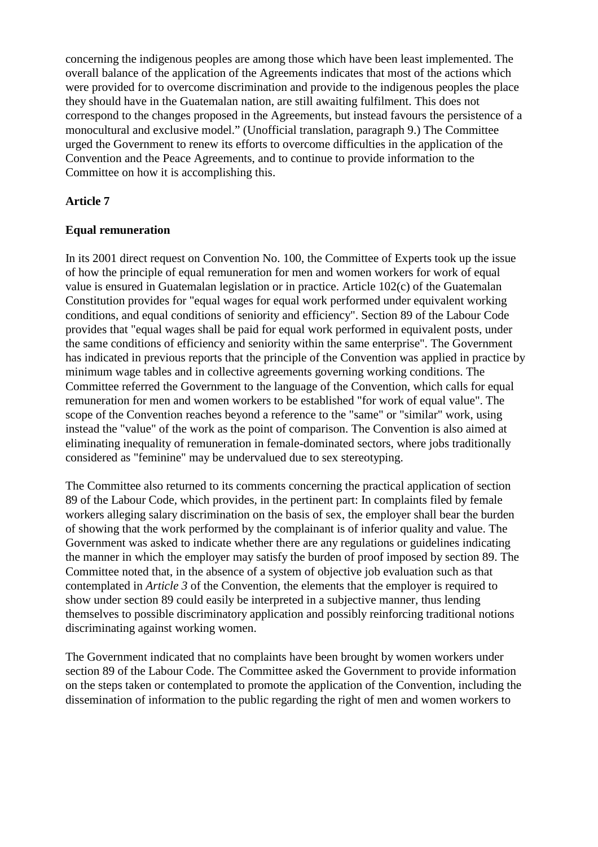concerning the indigenous peoples are among those which have been least implemented. The overall balance of the application of the Agreements indicates that most of the actions which were provided for to overcome discrimination and provide to the indigenous peoples the place they should have in the Guatemalan nation, are still awaiting fulfilment. This does not correspond to the changes proposed in the Agreements, but instead favours the persistence of a monocultural and exclusive model." (Unofficial translation, paragraph 9.) The Committee urged the Government to renew its efforts to overcome difficulties in the application of the Convention and the Peace Agreements, and to continue to provide information to the Committee on how it is accomplishing this.

## **Article 7**

#### **Equal remuneration**

In its 2001 direct request on Convention No. 100, the Committee of Experts took up the issue of how the principle of equal remuneration for men and women workers for work of equal value is ensured in Guatemalan legislation or in practice. Article 102(c) of the Guatemalan Constitution provides for "equal wages for equal work performed under equivalent working conditions, and equal conditions of seniority and efficiency". Section 89 of the Labour Code provides that "equal wages shall be paid for equal work performed in equivalent posts, under the same conditions of efficiency and seniority within the same enterprise". The Government has indicated in previous reports that the principle of the Convention was applied in practice by minimum wage tables and in collective agreements governing working conditions. The Committee referred the Government to the language of the Convention, which calls for equal remuneration for men and women workers to be established "for work of equal value". The scope of the Convention reaches beyond a reference to the "same" or "similar" work, using instead the "value" of the work as the point of comparison. The Convention is also aimed at eliminating inequality of remuneration in female-dominated sectors, where jobs traditionally considered as "feminine" may be undervalued due to sex stereotyping.

The Committee also returned to its comments concerning the practical application of section 89 of the Labour Code, which provides, in the pertinent part: In complaints filed by female workers alleging salary discrimination on the basis of sex, the employer shall bear the burden of showing that the work performed by the complainant is of inferior quality and value. The Government was asked to indicate whether there are any regulations or guidelines indicating the manner in which the employer may satisfy the burden of proof imposed by section 89. The Committee noted that, in the absence of a system of objective job evaluation such as that contemplated in *Article 3* of the Convention, the elements that the employer is required to show under section 89 could easily be interpreted in a subjective manner, thus lending themselves to possible discriminatory application and possibly reinforcing traditional notions discriminating against working women.

The Government indicated that no complaints have been brought by women workers under section 89 of the Labour Code. The Committee asked the Government to provide information on the steps taken or contemplated to promote the application of the Convention, including the dissemination of information to the public regarding the right of men and women workers to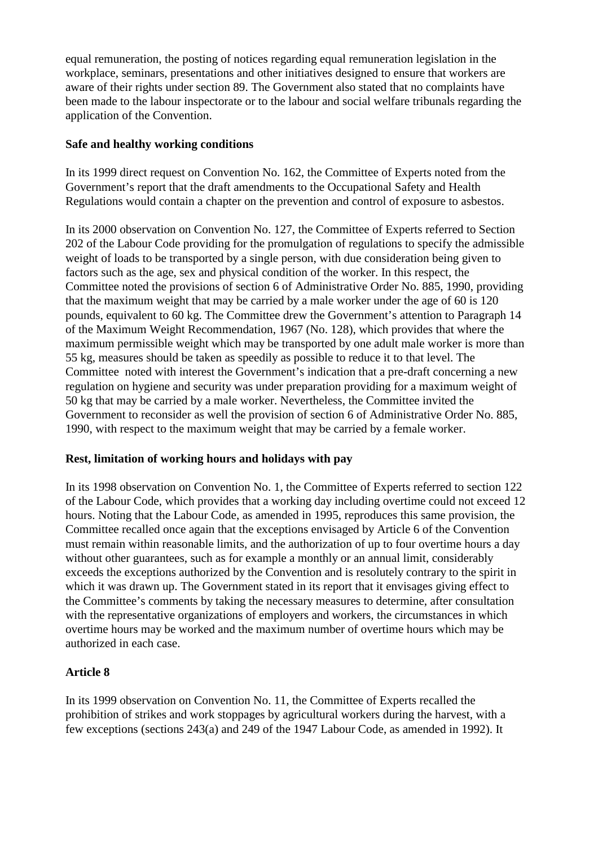equal remuneration, the posting of notices regarding equal remuneration legislation in the workplace, seminars, presentations and other initiatives designed to ensure that workers are aware of their rights under section 89. The Government also stated that no complaints have been made to the labour inspectorate or to the labour and social welfare tribunals regarding the application of the Convention.

## **Safe and healthy working conditions**

In its 1999 direct request on Convention No. 162, the Committee of Experts noted from the Government's report that the draft amendments to the Occupational Safety and Health Regulations would contain a chapter on the prevention and control of exposure to asbestos.

In its 2000 observation on Convention No. 127, the Committee of Experts referred to Section 202 of the Labour Code providing for the promulgation of regulations to specify the admissible weight of loads to be transported by a single person, with due consideration being given to factors such as the age, sex and physical condition of the worker. In this respect, the Committee noted the provisions of section 6 of Administrative Order No. 885, 1990, providing that the maximum weight that may be carried by a male worker under the age of 60 is 120 pounds, equivalent to 60 kg. The Committee drew the Government's attention to Paragraph 14 of the Maximum Weight Recommendation, 1967 (No. 128), which provides that where the maximum permissible weight which may be transported by one adult male worker is more than 55 kg, measures should be taken as speedily as possible to reduce it to that level. The Committee noted with interest the Government's indication that a pre-draft concerning a new regulation on hygiene and security was under preparation providing for a maximum weight of 50 kg that may be carried by a male worker. Nevertheless, the Committee invited the Government to reconsider as well the provision of section 6 of Administrative Order No. 885, 1990, with respect to the maximum weight that may be carried by a female worker.

## **Rest, limitation of working hours and holidays with pay**

In its 1998 observation on Convention No. 1, the Committee of Experts referred to section 122 of the Labour Code, which provides that a working day including overtime could not exceed 12 hours. Noting that the Labour Code, as amended in 1995, reproduces this same provision, the Committee recalled once again that the exceptions envisaged by Article 6 of the Convention must remain within reasonable limits, and the authorization of up to four overtime hours a day without other guarantees, such as for example a monthly or an annual limit, considerably exceeds the exceptions authorized by the Convention and is resolutely contrary to the spirit in which it was drawn up. The Government stated in its report that it envisages giving effect to the Committee's comments by taking the necessary measures to determine, after consultation with the representative organizations of employers and workers, the circumstances in which overtime hours may be worked and the maximum number of overtime hours which may be authorized in each case.

## **Article 8**

In its 1999 observation on Convention No. 11, the Committee of Experts recalled the prohibition of strikes and work stoppages by agricultural workers during the harvest, with a few exceptions (sections 243(a) and 249 of the 1947 Labour Code, as amended in 1992). It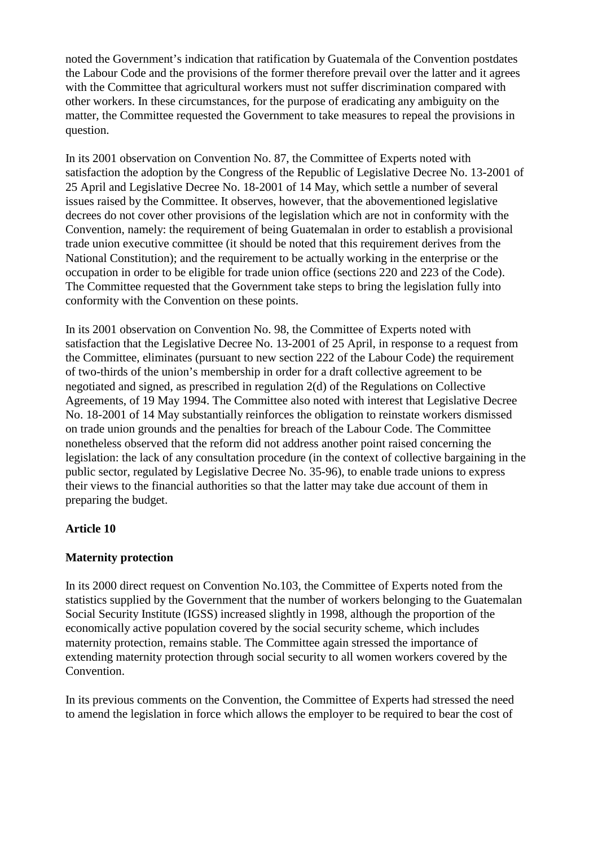noted the Government's indication that ratification by Guatemala of the Convention postdates the Labour Code and the provisions of the former therefore prevail over the latter and it agrees with the Committee that agricultural workers must not suffer discrimination compared with other workers. In these circumstances, for the purpose of eradicating any ambiguity on the matter, the Committee requested the Government to take measures to repeal the provisions in question.

In its 2001 observation on Convention No. 87, the Committee of Experts noted with satisfaction the adoption by the Congress of the Republic of Legislative Decree No. 13-2001 of 25 April and Legislative Decree No. 18-2001 of 14 May, which settle a number of several issues raised by the Committee. It observes, however, that the abovementioned legislative decrees do not cover other provisions of the legislation which are not in conformity with the Convention, namely: the requirement of being Guatemalan in order to establish a provisional trade union executive committee (it should be noted that this requirement derives from the National Constitution); and the requirement to be actually working in the enterprise or the occupation in order to be eligible for trade union office (sections 220 and 223 of the Code). The Committee requested that the Government take steps to bring the legislation fully into conformity with the Convention on these points.

In its 2001 observation on Convention No. 98, the Committee of Experts noted with satisfaction that the Legislative Decree No. 13-2001 of 25 April, in response to a request from the Committee, eliminates (pursuant to new section 222 of the Labour Code) the requirement of two-thirds of the union's membership in order for a draft collective agreement to be negotiated and signed, as prescribed in regulation 2(d) of the Regulations on Collective Agreements, of 19 May 1994. The Committee also noted with interest that Legislative Decree No. 18-2001 of 14 May substantially reinforces the obligation to reinstate workers dismissed on trade union grounds and the penalties for breach of the Labour Code. The Committee nonetheless observed that the reform did not address another point raised concerning the legislation: the lack of any consultation procedure (in the context of collective bargaining in the public sector, regulated by Legislative Decree No. 35-96), to enable trade unions to express their views to the financial authorities so that the latter may take due account of them in preparing the budget.

## **Article 10**

## **Maternity protection**

In its 2000 direct request on Convention No.103, the Committee of Experts noted from the statistics supplied by the Government that the number of workers belonging to the Guatemalan Social Security Institute (IGSS) increased slightly in 1998, although the proportion of the economically active population covered by the social security scheme, which includes maternity protection, remains stable. The Committee again stressed the importance of extending maternity protection through social security to all women workers covered by the Convention.

In its previous comments on the Convention, the Committee of Experts had stressed the need to amend the legislation in force which allows the employer to be required to bear the cost of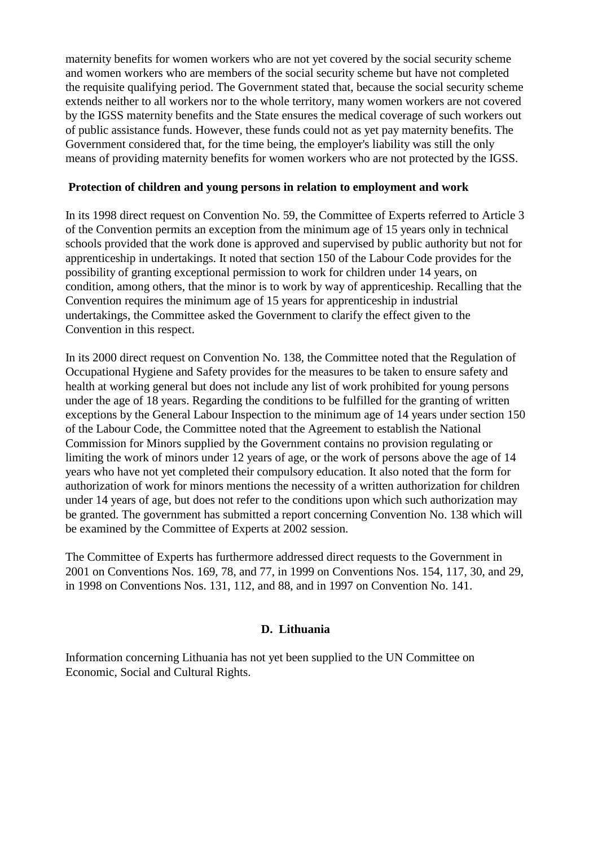maternity benefits for women workers who are not yet covered by the social security scheme and women workers who are members of the social security scheme but have not completed the requisite qualifying period. The Government stated that, because the social security scheme extends neither to all workers nor to the whole territory, many women workers are not covered by the IGSS maternity benefits and the State ensures the medical coverage of such workers out of public assistance funds. However, these funds could not as yet pay maternity benefits. The Government considered that, for the time being, the employer's liability was still the only means of providing maternity benefits for women workers who are not protected by the IGSS.

#### **Protection of children and young persons in relation to employment and work**

In its 1998 direct request on Convention No. 59, the Committee of Experts referred to Article 3 of the Convention permits an exception from the minimum age of 15 years only in technical schools provided that the work done is approved and supervised by public authority but not for apprenticeship in undertakings. It noted that section 150 of the Labour Code provides for the possibility of granting exceptional permission to work for children under 14 years, on condition, among others, that the minor is to work by way of apprenticeship. Recalling that the Convention requires the minimum age of 15 years for apprenticeship in industrial undertakings, the Committee asked the Government to clarify the effect given to the Convention in this respect.

In its 2000 direct request on Convention No. 138, the Committee noted that the Regulation of Occupational Hygiene and Safety provides for the measures to be taken to ensure safety and health at working general but does not include any list of work prohibited for young persons under the age of 18 years. Regarding the conditions to be fulfilled for the granting of written exceptions by the General Labour Inspection to the minimum age of 14 years under section 150 of the Labour Code, the Committee noted that the Agreement to establish the National Commission for Minors supplied by the Government contains no provision regulating or limiting the work of minors under 12 years of age, or the work of persons above the age of 14 years who have not yet completed their compulsory education. It also noted that the form for authorization of work for minors mentions the necessity of a written authorization for children under 14 years of age, but does not refer to the conditions upon which such authorization may be granted. The government has submitted a report concerning Convention No. 138 which will be examined by the Committee of Experts at 2002 session.

The Committee of Experts has furthermore addressed direct requests to the Government in 2001 on Conventions Nos. 169, 78, and 77, in 1999 on Conventions Nos. 154, 117, 30, and 29, in 1998 on Conventions Nos. 131, 112, and 88, and in 1997 on Convention No. 141.

## **D. Lithuania**

Information concerning Lithuania has not yet been supplied to the UN Committee on Economic, Social and Cultural Rights.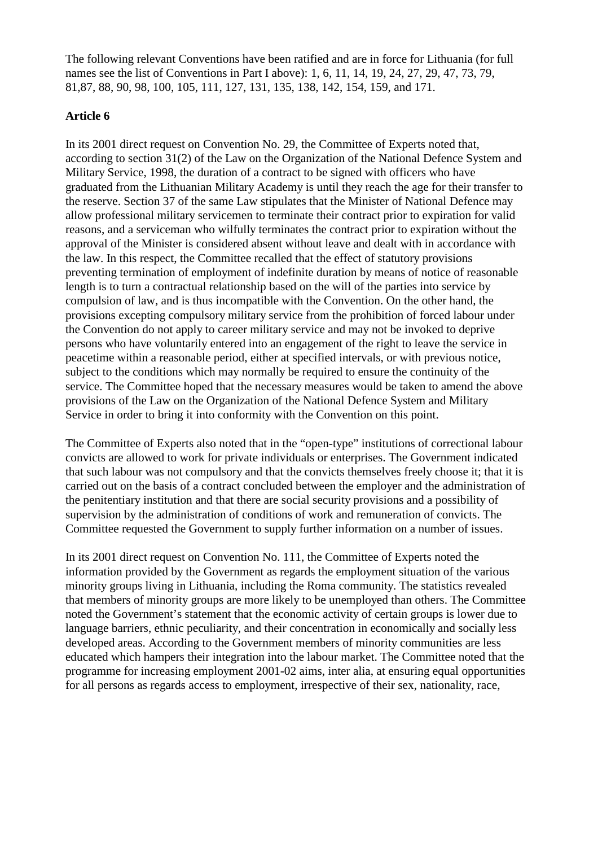The following relevant Conventions have been ratified and are in force for Lithuania (for full names see the list of Conventions in Part I above): 1, 6, 11, 14, 19, 24, 27, 29, 47, 73, 79, 81,87, 88, 90, 98, 100, 105, 111, 127, 131, 135, 138, 142, 154, 159, and 171.

## **Article 6**

In its 2001 direct request on Convention No. 29, the Committee of Experts noted that, according to section 31(2) of the Law on the Organization of the National Defence System and Military Service, 1998, the duration of a contract to be signed with officers who have graduated from the Lithuanian Military Academy is until they reach the age for their transfer to the reserve. Section 37 of the same Law stipulates that the Minister of National Defence may allow professional military servicemen to terminate their contract prior to expiration for valid reasons, and a serviceman who wilfully terminates the contract prior to expiration without the approval of the Minister is considered absent without leave and dealt with in accordance with the law. In this respect, the Committee recalled that the effect of statutory provisions preventing termination of employment of indefinite duration by means of notice of reasonable length is to turn a contractual relationship based on the will of the parties into service by compulsion of law, and is thus incompatible with the Convention. On the other hand, the provisions excepting compulsory military service from the prohibition of forced labour under the Convention do not apply to career military service and may not be invoked to deprive persons who have voluntarily entered into an engagement of the right to leave the service in peacetime within a reasonable period, either at specified intervals, or with previous notice, subject to the conditions which may normally be required to ensure the continuity of the service. The Committee hoped that the necessary measures would be taken to amend the above provisions of the Law on the Organization of the National Defence System and Military Service in order to bring it into conformity with the Convention on this point.

The Committee of Experts also noted that in the "open-type" institutions of correctional labour convicts are allowed to work for private individuals or enterprises. The Government indicated that such labour was not compulsory and that the convicts themselves freely choose it; that it is carried out on the basis of a contract concluded between the employer and the administration of the penitentiary institution and that there are social security provisions and a possibility of supervision by the administration of conditions of work and remuneration of convicts. The Committee requested the Government to supply further information on a number of issues.

In its 2001 direct request on Convention No. 111, the Committee of Experts noted the information provided by the Government as regards the employment situation of the various minority groups living in Lithuania, including the Roma community. The statistics revealed that members of minority groups are more likely to be unemployed than others. The Committee noted the Government's statement that the economic activity of certain groups is lower due to language barriers, ethnic peculiarity, and their concentration in economically and socially less developed areas. According to the Government members of minority communities are less educated which hampers their integration into the labour market. The Committee noted that the programme for increasing employment 2001-02 aims, inter alia, at ensuring equal opportunities for all persons as regards access to employment, irrespective of their sex, nationality, race,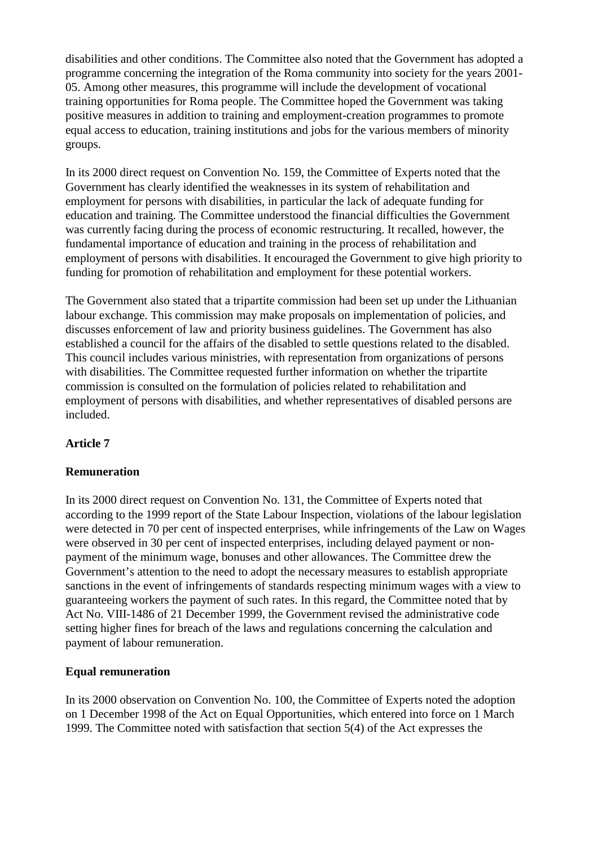disabilities and other conditions. The Committee also noted that the Government has adopted a programme concerning the integration of the Roma community into society for the years 2001- 05. Among other measures, this programme will include the development of vocational training opportunities for Roma people. The Committee hoped the Government was taking positive measures in addition to training and employment-creation programmes to promote equal access to education, training institutions and jobs for the various members of minority groups.

In its 2000 direct request on Convention No. 159, the Committee of Experts noted that the Government has clearly identified the weaknesses in its system of rehabilitation and employment for persons with disabilities, in particular the lack of adequate funding for education and training. The Committee understood the financial difficulties the Government was currently facing during the process of economic restructuring. It recalled, however, the fundamental importance of education and training in the process of rehabilitation and employment of persons with disabilities. It encouraged the Government to give high priority to funding for promotion of rehabilitation and employment for these potential workers.

The Government also stated that a tripartite commission had been set up under the Lithuanian labour exchange. This commission may make proposals on implementation of policies, and discusses enforcement of law and priority business guidelines. The Government has also established a council for the affairs of the disabled to settle questions related to the disabled. This council includes various ministries, with representation from organizations of persons with disabilities. The Committee requested further information on whether the tripartite commission is consulted on the formulation of policies related to rehabilitation and employment of persons with disabilities, and whether representatives of disabled persons are included.

## **Article 7**

## **Remuneration**

In its 2000 direct request on Convention No. 131, the Committee of Experts noted that according to the 1999 report of the State Labour Inspection, violations of the labour legislation were detected in 70 per cent of inspected enterprises, while infringements of the Law on Wages were observed in 30 per cent of inspected enterprises, including delayed payment or nonpayment of the minimum wage, bonuses and other allowances. The Committee drew the Government's attention to the need to adopt the necessary measures to establish appropriate sanctions in the event of infringements of standards respecting minimum wages with a view to guaranteeing workers the payment of such rates. In this regard, the Committee noted that by Act No. VIII-1486 of 21 December 1999, the Government revised the administrative code setting higher fines for breach of the laws and regulations concerning the calculation and payment of labour remuneration.

## **Equal remuneration**

In its 2000 observation on Convention No. 100, the Committee of Experts noted the adoption on 1 December 1998 of the Act on Equal Opportunities, which entered into force on 1 March 1999. The Committee noted with satisfaction that section 5(4) of the Act expresses the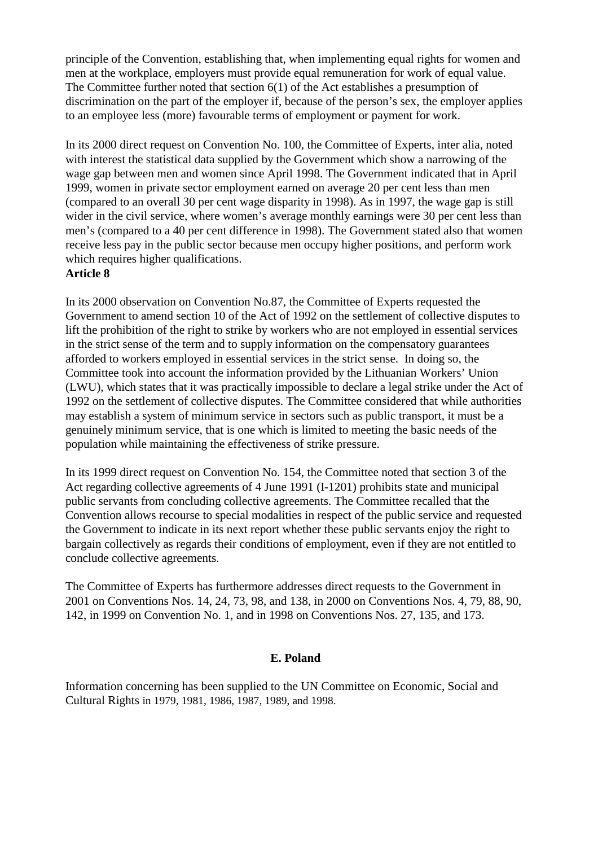principle of the Convention, establishing that, when implementing equal rights for women and men at the workplace, employers must provide equal remuneration for work of equal value. The Committee further noted that section 6(1) of the Act establishes a presumption of discrimination on the part of the employer if, because of the person's sex, the employer applies to an employee less (more) favourable terms of employment or payment for work.

In its 2000 direct request on Convention No. 100, the Committee of Experts, inter alia, noted with interest the statistical data supplied by the Government which show a narrowing of the wage gap between men and women since April 1998. The Government indicated that in April 1999, women in private sector employment earned on average 20 per cent less than men (compared to an overall 30 per cent wage disparity in 1998). As in 1997, the wage gap is still wider in the civil service, where women's average monthly earnings were 30 per cent less than men's (compared to a 40 per cent difference in 1998). The Government stated also that women receive less pay in the public sector because men occupy higher positions, and perform work which requires higher qualifications.

#### **Article 8**

In its 2000 observation on Convention No.87, the Committee of Experts requested the Government to amend section 10 of the Act of 1992 on the settlement of collective disputes to lift the prohibition of the right to strike by workers who are not employed in essential services in the strict sense of the term and to supply information on the compensatory guarantees afforded to workers employed in essential services in the strict sense. In doing so, the Committee took into account the information provided by the Lithuanian Workers' Union (LWU), which states that it was practically impossible to declare a legal strike under the Act of 1992 on the settlement of collective disputes. The Committee considered that while authorities may establish a system of minimum service in sectors such as public transport, it must be a genuinely minimum service, that is one which is limited to meeting the basic needs of the population while maintaining the effectiveness of strike pressure.

In its 1999 direct request on Convention No. 154, the Committee noted that section 3 of the Act regarding collective agreements of 4 June 1991 (I-1201) prohibits state and municipal public servants from concluding collective agreements. The Committee recalled that the Convention allows recourse to special modalities in respect of the public service and requested the Government to indicate in its next report whether these public servants enjoy the right to bargain collectively as regards their conditions of employment, even if they are not entitled to conclude collective agreements.

The Committee of Experts has furthermore addresses direct requests to the Government in 2001 on Conventions Nos. 14, 24, 73, 98, and 138, in 2000 on Conventions Nos. 4, 79, 88, 90, 142, in 1999 on Convention No. 1, and in 1998 on Conventions Nos. 27, 135, and 173.

## **E. Poland**

Information concerning has been supplied to the UN Committee on Economic, Social and Cultural Rights in 1979, 1981, 1986, 1987, 1989, and 1998.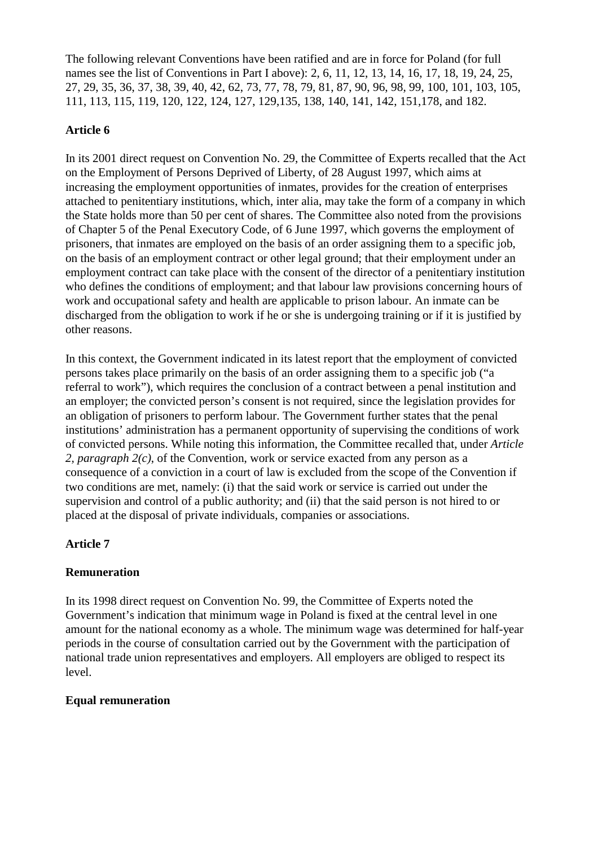The following relevant Conventions have been ratified and are in force for Poland (for full names see the list of Conventions in Part I above): 2, 6, 11, 12, 13, 14, 16, 17, 18, 19, 24, 25, 27, 29, 35, 36, 37, 38, 39, 40, 42, 62, 73, 77, 78, 79, 81, 87, 90, 96, 98, 99, 100, 101, 103, 105, 111, 113, 115, 119, 120, 122, 124, 127, 129,135, 138, 140, 141, 142, 151,178, and 182.

## **Article 6**

In its 2001 direct request on Convention No. 29, the Committee of Experts recalled that the Act on the Employment of Persons Deprived of Liberty, of 28 August 1997, which aims at increasing the employment opportunities of inmates, provides for the creation of enterprises attached to penitentiary institutions, which, inter alia, may take the form of a company in which the State holds more than 50 per cent of shares. The Committee also noted from the provisions of Chapter 5 of the Penal Executory Code, of 6 June 1997, which governs the employment of prisoners, that inmates are employed on the basis of an order assigning them to a specific job, on the basis of an employment contract or other legal ground; that their employment under an employment contract can take place with the consent of the director of a penitentiary institution who defines the conditions of employment; and that labour law provisions concerning hours of work and occupational safety and health are applicable to prison labour. An inmate can be discharged from the obligation to work if he or she is undergoing training or if it is justified by other reasons.

In this context, the Government indicated in its latest report that the employment of convicted persons takes place primarily on the basis of an order assigning them to a specific job ("a referral to work"), which requires the conclusion of a contract between a penal institution and an employer; the convicted person's consent is not required, since the legislation provides for an obligation of prisoners to perform labour. The Government further states that the penal institutions' administration has a permanent opportunity of supervising the conditions of work of convicted persons. While noting this information, the Committee recalled that, under *Article 2, paragraph 2(c)*, of the Convention, work or service exacted from any person as a consequence of a conviction in a court of law is excluded from the scope of the Convention if two conditions are met, namely: (i) that the said work or service is carried out under the supervision and control of a public authority; and (ii) that the said person is not hired to or placed at the disposal of private individuals, companies or associations.

## **Article 7**

## **Remuneration**

In its 1998 direct request on Convention No. 99, the Committee of Experts noted the Government's indication that minimum wage in Poland is fixed at the central level in one amount for the national economy as a whole. The minimum wage was determined for half-year periods in the course of consultation carried out by the Government with the participation of national trade union representatives and employers. All employers are obliged to respect its level.

## **Equal remuneration**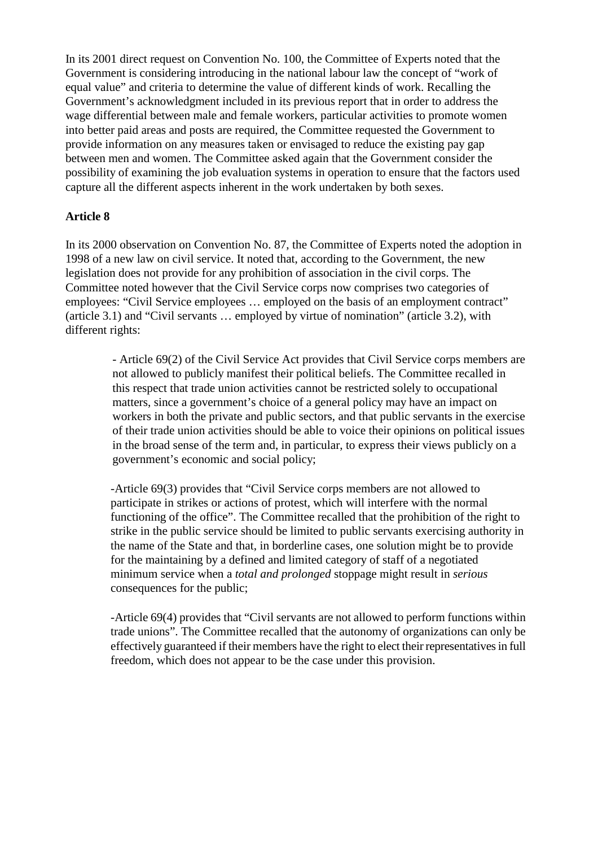In its 2001 direct request on Convention No. 100, the Committee of Experts noted that the Government is considering introducing in the national labour law the concept of "work of equal value" and criteria to determine the value of different kinds of work. Recalling the Government's acknowledgment included in its previous report that in order to address the wage differential between male and female workers, particular activities to promote women into better paid areas and posts are required, the Committee requested the Government to provide information on any measures taken or envisaged to reduce the existing pay gap between men and women. The Committee asked again that the Government consider the possibility of examining the job evaluation systems in operation to ensure that the factors used capture all the different aspects inherent in the work undertaken by both sexes.

## **Article 8**

In its 2000 observation on Convention No. 87, the Committee of Experts noted the adoption in 1998 of a new law on civil service. It noted that, according to the Government, the new legislation does not provide for any prohibition of association in the civil corps. The Committee noted however that the Civil Service corps now comprises two categories of employees: "Civil Service employees … employed on the basis of an employment contract" (article 3.1) and "Civil servants … employed by virtue of nomination" (article 3.2), with different rights:

> - Article 69(2) of the Civil Service Act provides that Civil Service corps members are not allowed to publicly manifest their political beliefs. The Committee recalled in this respect that trade union activities cannot be restricted solely to occupational matters, since a government's choice of a general policy may have an impact on workers in both the private and public sectors, and that public servants in the exercise of their trade union activities should be able to voice their opinions on political issues in the broad sense of the term and, in particular, to express their views publicly on a government's economic and social policy;

> -Article 69(3) provides that "Civil Service corps members are not allowed to participate in strikes or actions of protest, which will interfere with the normal functioning of the office". The Committee recalled that the prohibition of the right to strike in the public service should be limited to public servants exercising authority in the name of the State and that, in borderline cases, one solution might be to provide for the maintaining by a defined and limited category of staff of a negotiated minimum service when a *total and prolonged* stoppage might result in *serious* consequences for the public;

> -Article 69(4) provides that "Civil servants are not allowed to perform functions within trade unions". The Committee recalled that the autonomy of organizations can only be effectively guaranteed if their members have the right to elect their representatives in full freedom, which does not appear to be the case under this provision.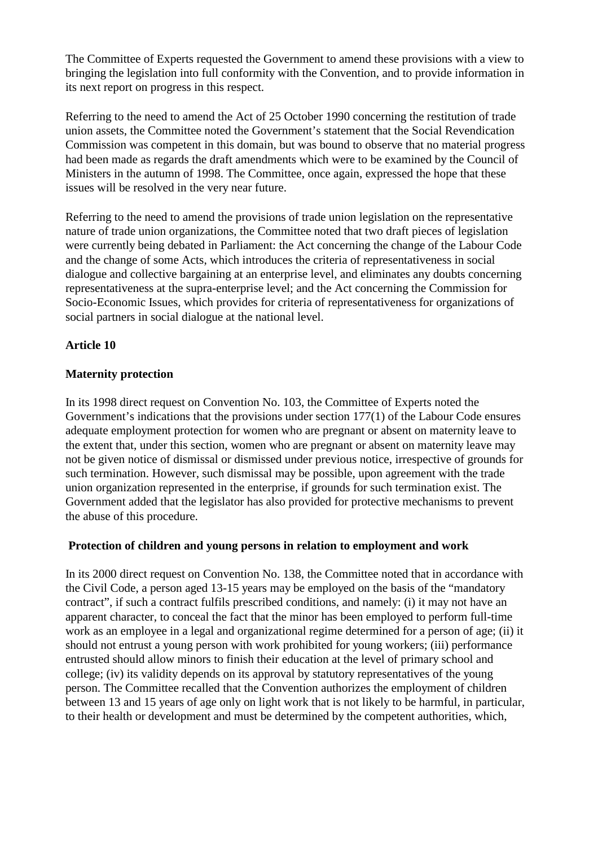The Committee of Experts requested the Government to amend these provisions with a view to bringing the legislation into full conformity with the Convention, and to provide information in its next report on progress in this respect.

Referring to the need to amend the Act of 25 October 1990 concerning the restitution of trade union assets, the Committee noted the Government's statement that the Social Revendication Commission was competent in this domain, but was bound to observe that no material progress had been made as regards the draft amendments which were to be examined by the Council of Ministers in the autumn of 1998. The Committee, once again, expressed the hope that these issues will be resolved in the very near future.

Referring to the need to amend the provisions of trade union legislation on the representative nature of trade union organizations, the Committee noted that two draft pieces of legislation were currently being debated in Parliament: the Act concerning the change of the Labour Code and the change of some Acts, which introduces the criteria of representativeness in social dialogue and collective bargaining at an enterprise level, and eliminates any doubts concerning representativeness at the supra-enterprise level; and the Act concerning the Commission for Socio-Economic Issues, which provides for criteria of representativeness for organizations of social partners in social dialogue at the national level.

## **Article 10**

## **Maternity protection**

In its 1998 direct request on Convention No. 103, the Committee of Experts noted the Government's indications that the provisions under section 177(1) of the Labour Code ensures adequate employment protection for women who are pregnant or absent on maternity leave to the extent that, under this section, women who are pregnant or absent on maternity leave may not be given notice of dismissal or dismissed under previous notice, irrespective of grounds for such termination. However, such dismissal may be possible, upon agreement with the trade union organization represented in the enterprise, if grounds for such termination exist. The Government added that the legislator has also provided for protective mechanisms to prevent the abuse of this procedure.

## **Protection of children and young persons in relation to employment and work**

In its 2000 direct request on Convention No. 138, the Committee noted that in accordance with the Civil Code, a person aged 13-15 years may be employed on the basis of the "mandatory contract", if such a contract fulfils prescribed conditions, and namely: (i) it may not have an apparent character, to conceal the fact that the minor has been employed to perform full-time work as an employee in a legal and organizational regime determined for a person of age; (ii) it should not entrust a young person with work prohibited for young workers; (iii) performance entrusted should allow minors to finish their education at the level of primary school and college; (iv) its validity depends on its approval by statutory representatives of the young person. The Committee recalled that the Convention authorizes the employment of children between 13 and 15 years of age only on light work that is not likely to be harmful, in particular, to their health or development and must be determined by the competent authorities, which,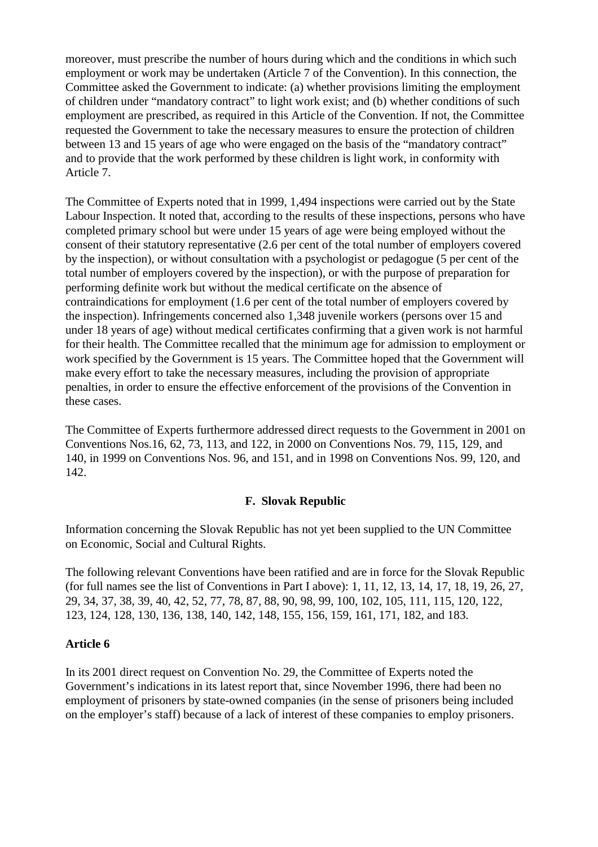moreover, must prescribe the number of hours during which and the conditions in which such employment or work may be undertaken (Article 7 of the Convention). In this connection, the Committee asked the Government to indicate: (a) whether provisions limiting the employment of children under "mandatory contract" to light work exist; and (b) whether conditions of such employment are prescribed, as required in this Article of the Convention. If not, the Committee requested the Government to take the necessary measures to ensure the protection of children between 13 and 15 years of age who were engaged on the basis of the "mandatory contract" and to provide that the work performed by these children is light work, in conformity with Article 7.

The Committee of Experts noted that in 1999, 1,494 inspections were carried out by the State Labour Inspection. It noted that, according to the results of these inspections, persons who have completed primary school but were under 15 years of age were being employed without the consent of their statutory representative (2.6 per cent of the total number of employers covered by the inspection), or without consultation with a psychologist or pedagogue (5 per cent of the total number of employers covered by the inspection), or with the purpose of preparation for performing definite work but without the medical certificate on the absence of contraindications for employment (1.6 per cent of the total number of employers covered by the inspection). Infringements concerned also 1,348 juvenile workers (persons over 15 and under 18 years of age) without medical certificates confirming that a given work is not harmful for their health. The Committee recalled that the minimum age for admission to employment or work specified by the Government is 15 years. The Committee hoped that the Government will make every effort to take the necessary measures, including the provision of appropriate penalties, in order to ensure the effective enforcement of the provisions of the Convention in these cases.

The Committee of Experts furthermore addressed direct requests to the Government in 2001 on Conventions Nos.16, 62, 73, 113, and 122, in 2000 on Conventions Nos. 79, 115, 129, and 140, in 1999 on Conventions Nos. 96, and 151, and in 1998 on Conventions Nos. 99, 120, and 142.

#### **F. Slovak Republic**

Information concerning the Slovak Republic has not yet been supplied to the UN Committee on Economic, Social and Cultural Rights.

The following relevant Conventions have been ratified and are in force for the Slovak Republic (for full names see the list of Conventions in Part I above): 1, 11, 12, 13, 14, 17, 18, 19, 26, 27, 29, 34, 37, 38, 39, 40, 42, 52, 77, 78, 87, 88, 90, 98, 99, 100, 102, 105, 111, 115, 120, 122, 123, 124, 128, 130, 136, 138, 140, 142, 148, 155, 156, 159, 161, 171, 182, and 183.

#### **Article 6**

In its 2001 direct request on Convention No. 29, the Committee of Experts noted the Government's indications in its latest report that, since November 1996, there had been no employment of prisoners by state-owned companies (in the sense of prisoners being included on the employer's staff) because of a lack of interest of these companies to employ prisoners.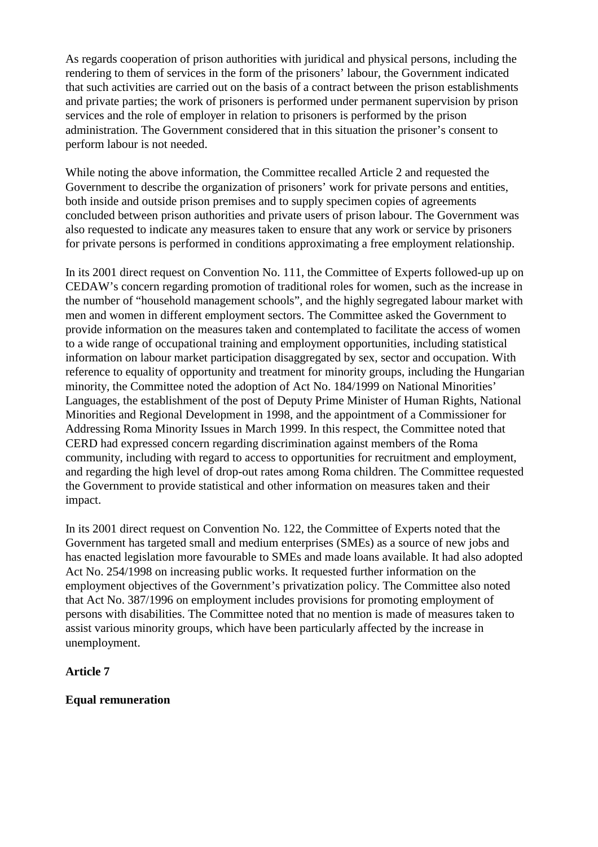As regards cooperation of prison authorities with juridical and physical persons, including the rendering to them of services in the form of the prisoners' labour, the Government indicated that such activities are carried out on the basis of a contract between the prison establishments and private parties; the work of prisoners is performed under permanent supervision by prison services and the role of employer in relation to prisoners is performed by the prison administration. The Government considered that in this situation the prisoner's consent to perform labour is not needed.

While noting the above information, the Committee recalled Article 2 and requested the Government to describe the organization of prisoners' work for private persons and entities, both inside and outside prison premises and to supply specimen copies of agreements concluded between prison authorities and private users of prison labour. The Government was also requested to indicate any measures taken to ensure that any work or service by prisoners for private persons is performed in conditions approximating a free employment relationship.

In its 2001 direct request on Convention No. 111, the Committee of Experts followed-up up on CEDAW's concern regarding promotion of traditional roles for women, such as the increase in the number of "household management schools", and the highly segregated labour market with men and women in different employment sectors. The Committee asked the Government to provide information on the measures taken and contemplated to facilitate the access of women to a wide range of occupational training and employment opportunities, including statistical information on labour market participation disaggregated by sex, sector and occupation. With reference to equality of opportunity and treatment for minority groups, including the Hungarian minority, the Committee noted the adoption of Act No. 184/1999 on National Minorities' Languages, the establishment of the post of Deputy Prime Minister of Human Rights, National Minorities and Regional Development in 1998, and the appointment of a Commissioner for Addressing Roma Minority Issues in March 1999. In this respect, the Committee noted that CERD had expressed concern regarding discrimination against members of the Roma community, including with regard to access to opportunities for recruitment and employment, and regarding the high level of drop-out rates among Roma children. The Committee requested the Government to provide statistical and other information on measures taken and their impact.

In its 2001 direct request on Convention No. 122, the Committee of Experts noted that the Government has targeted small and medium enterprises (SMEs) as a source of new jobs and has enacted legislation more favourable to SMEs and made loans available. It had also adopted Act No. 254/1998 on increasing public works. It requested further information on the employment objectives of the Government's privatization policy. The Committee also noted that Act No. 387/1996 on employment includes provisions for promoting employment of persons with disabilities. The Committee noted that no mention is made of measures taken to assist various minority groups, which have been particularly affected by the increase in unemployment.

## **Article 7**

## **Equal remuneration**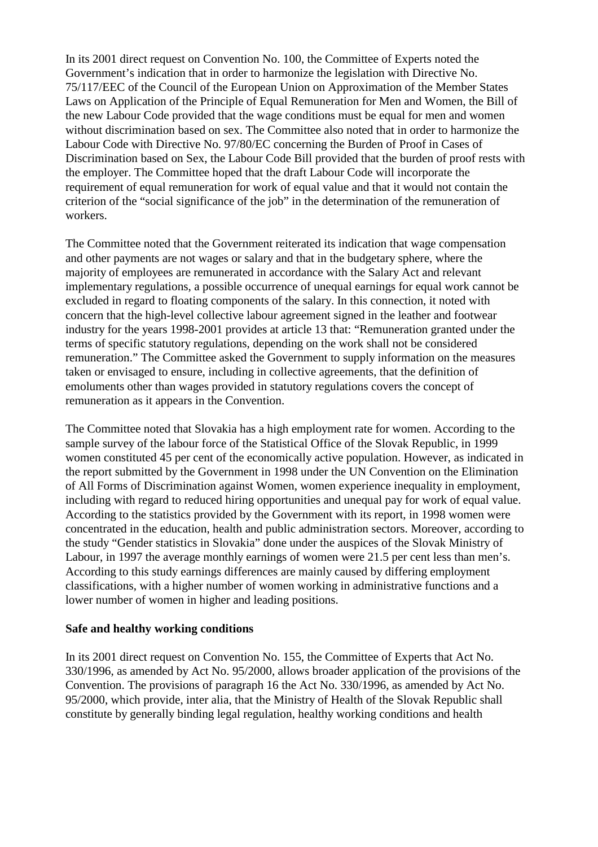In its 2001 direct request on Convention No. 100, the Committee of Experts noted the Government's indication that in order to harmonize the legislation with Directive No. 75/117/EEC of the Council of the European Union on Approximation of the Member States Laws on Application of the Principle of Equal Remuneration for Men and Women, the Bill of the new Labour Code provided that the wage conditions must be equal for men and women without discrimination based on sex. The Committee also noted that in order to harmonize the Labour Code with Directive No. 97/80/EC concerning the Burden of Proof in Cases of Discrimination based on Sex, the Labour Code Bill provided that the burden of proof rests with the employer. The Committee hoped that the draft Labour Code will incorporate the requirement of equal remuneration for work of equal value and that it would not contain the criterion of the "social significance of the job" in the determination of the remuneration of workers.

The Committee noted that the Government reiterated its indication that wage compensation and other payments are not wages or salary and that in the budgetary sphere, where the majority of employees are remunerated in accordance with the Salary Act and relevant implementary regulations, a possible occurrence of unequal earnings for equal work cannot be excluded in regard to floating components of the salary. In this connection, it noted with concern that the high-level collective labour agreement signed in the leather and footwear industry for the years 1998-2001 provides at article 13 that: "Remuneration granted under the terms of specific statutory regulations, depending on the work shall not be considered remuneration." The Committee asked the Government to supply information on the measures taken or envisaged to ensure, including in collective agreements, that the definition of emoluments other than wages provided in statutory regulations covers the concept of remuneration as it appears in the Convention.

The Committee noted that Slovakia has a high employment rate for women. According to the sample survey of the labour force of the Statistical Office of the Slovak Republic, in 1999 women constituted 45 per cent of the economically active population. However, as indicated in the report submitted by the Government in 1998 under the UN Convention on the Elimination of All Forms of Discrimination against Women, women experience inequality in employment, including with regard to reduced hiring opportunities and unequal pay for work of equal value. According to the statistics provided by the Government with its report, in 1998 women were concentrated in the education, health and public administration sectors. Moreover, according to the study "Gender statistics in Slovakia" done under the auspices of the Slovak Ministry of Labour, in 1997 the average monthly earnings of women were 21.5 per cent less than men's. According to this study earnings differences are mainly caused by differing employment classifications, with a higher number of women working in administrative functions and a lower number of women in higher and leading positions.

#### **Safe and healthy working conditions**

In its 2001 direct request on Convention No. 155, the Committee of Experts that Act No. 330/1996, as amended by Act No. 95/2000, allows broader application of the provisions of the Convention. The provisions of paragraph 16 the Act No. 330/1996, as amended by Act No. 95/2000, which provide, inter alia, that the Ministry of Health of the Slovak Republic shall constitute by generally binding legal regulation, healthy working conditions and health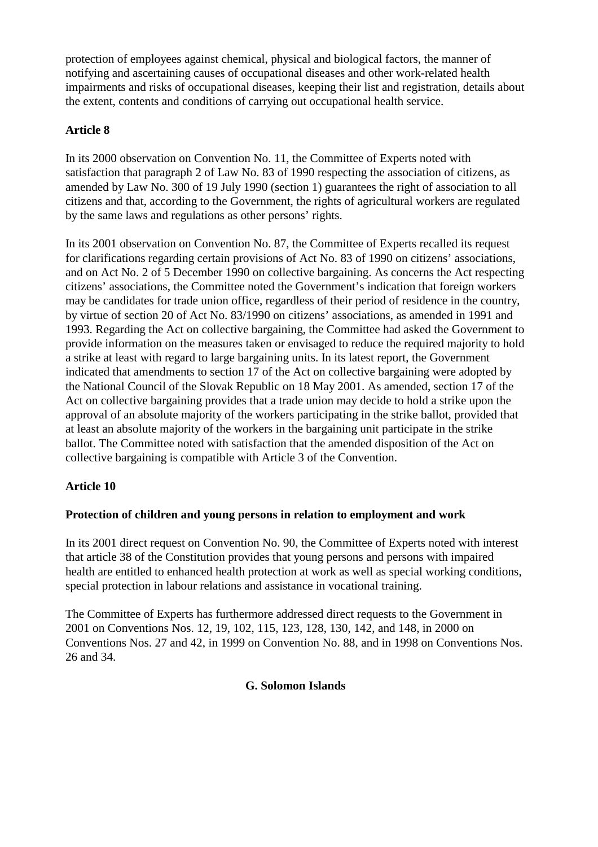protection of employees against chemical, physical and biological factors, the manner of notifying and ascertaining causes of occupational diseases and other work-related health impairments and risks of occupational diseases, keeping their list and registration, details about the extent, contents and conditions of carrying out occupational health service.

## **Article 8**

In its 2000 observation on Convention No. 11, the Committee of Experts noted with satisfaction that paragraph 2 of Law No. 83 of 1990 respecting the association of citizens, as amended by Law No. 300 of 19 July 1990 (section 1) guarantees the right of association to all citizens and that, according to the Government, the rights of agricultural workers are regulated by the same laws and regulations as other persons' rights.

In its 2001 observation on Convention No. 87, the Committee of Experts recalled its request for clarifications regarding certain provisions of Act No. 83 of 1990 on citizens' associations, and on Act No. 2 of 5 December 1990 on collective bargaining. As concerns the Act respecting citizens' associations, the Committee noted the Government's indication that foreign workers may be candidates for trade union office, regardless of their period of residence in the country, by virtue of section 20 of Act No. 83/1990 on citizens' associations, as amended in 1991 and 1993. Regarding the Act on collective bargaining, the Committee had asked the Government to provide information on the measures taken or envisaged to reduce the required majority to hold a strike at least with regard to large bargaining units. In its latest report, the Government indicated that amendments to section 17 of the Act on collective bargaining were adopted by the National Council of the Slovak Republic on 18 May 2001. As amended, section 17 of the Act on collective bargaining provides that a trade union may decide to hold a strike upon the approval of an absolute majority of the workers participating in the strike ballot, provided that at least an absolute majority of the workers in the bargaining unit participate in the strike ballot. The Committee noted with satisfaction that the amended disposition of the Act on collective bargaining is compatible with Article 3 of the Convention.

## **Article 10**

## **Protection of children and young persons in relation to employment and work**

In its 2001 direct request on Convention No. 90, the Committee of Experts noted with interest that article 38 of the Constitution provides that young persons and persons with impaired health are entitled to enhanced health protection at work as well as special working conditions, special protection in labour relations and assistance in vocational training.

The Committee of Experts has furthermore addressed direct requests to the Government in 2001 on Conventions Nos. 12, 19, 102, 115, 123, 128, 130, 142, and 148, in 2000 on Conventions Nos. 27 and 42, in 1999 on Convention No. 88, and in 1998 on Conventions Nos. 26 and 34.

## **G. Solomon Islands**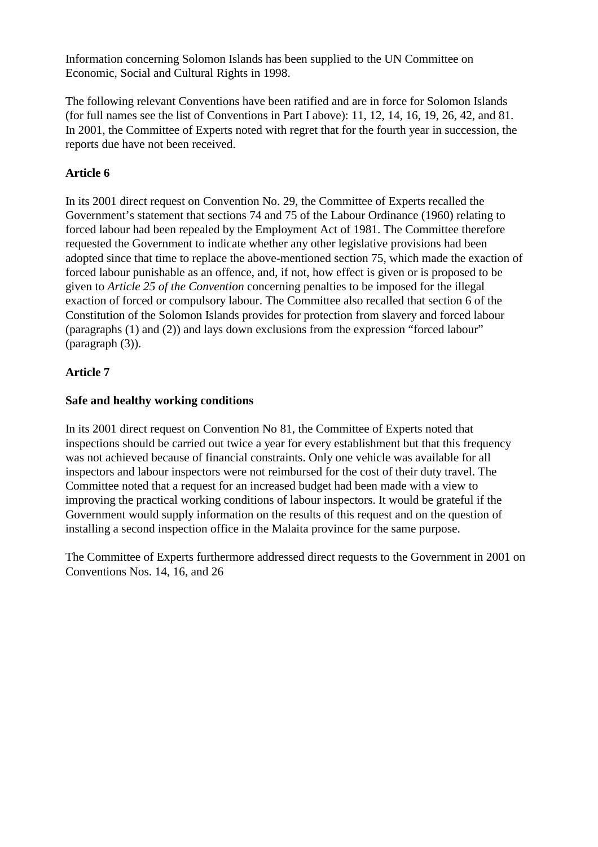Information concerning Solomon Islands has been supplied to the UN Committee on Economic, Social and Cultural Rights in 1998.

The following relevant Conventions have been ratified and are in force for Solomon Islands (for full names see the list of Conventions in Part I above): 11, 12, 14, 16, 19, 26, 42, and 81. In 2001, the Committee of Experts noted with regret that for the fourth year in succession, the reports due have not been received.

## **Article 6**

In its 2001 direct request on Convention No. 29, the Committee of Experts recalled the Government's statement that sections 74 and 75 of the Labour Ordinance (1960) relating to forced labour had been repealed by the Employment Act of 1981. The Committee therefore requested the Government to indicate whether any other legislative provisions had been adopted since that time to replace the above-mentioned section 75, which made the exaction of forced labour punishable as an offence, and, if not, how effect is given or is proposed to be given to *Article 25 of the Convention* concerning penalties to be imposed for the illegal exaction of forced or compulsory labour. The Committee also recalled that section 6 of the Constitution of the Solomon Islands provides for protection from slavery and forced labour (paragraphs (1) and (2)) and lays down exclusions from the expression "forced labour" (paragraph (3)).

## **Article 7**

## **Safe and healthy working conditions**

In its 2001 direct request on Convention No 81, the Committee of Experts noted that inspections should be carried out twice a year for every establishment but that this frequency was not achieved because of financial constraints. Only one vehicle was available for all inspectors and labour inspectors were not reimbursed for the cost of their duty travel. The Committee noted that a request for an increased budget had been made with a view to improving the practical working conditions of labour inspectors. It would be grateful if the Government would supply information on the results of this request and on the question of installing a second inspection office in the Malaita province for the same purpose.

The Committee of Experts furthermore addressed direct requests to the Government in 2001 on Conventions Nos. 14, 16, and 26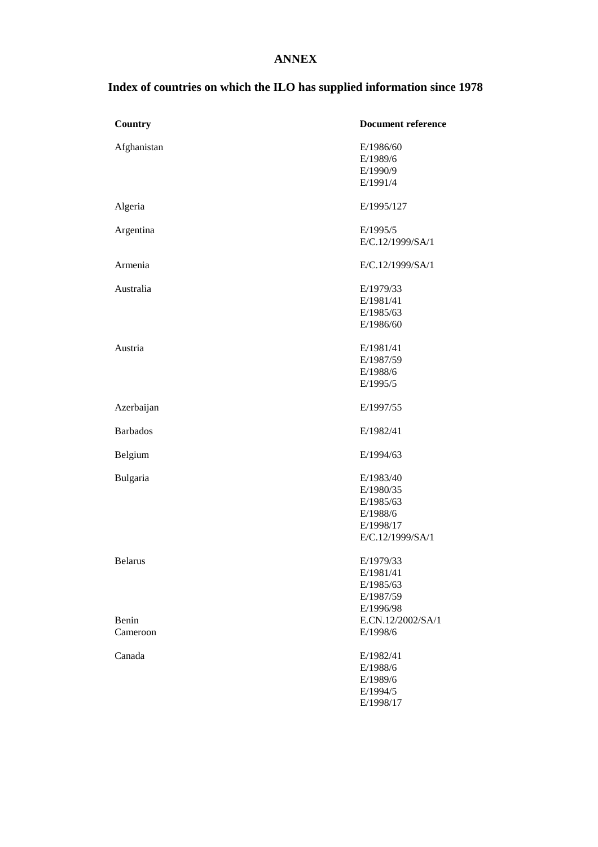## **ANNEX**

# **Index of countries on which the ILO has supplied information since 1978**

| Country         | <b>Document reference</b> |
|-----------------|---------------------------|
| Afghanistan     | E/1986/60                 |
|                 | E/1989/6                  |
|                 | E/1990/9                  |
|                 | E/1991/4                  |
| Algeria         | E/1995/127                |
| Argentina       | E/1995/5                  |
|                 | E/C.12/1999/SA/1          |
| Armenia         | E/C.12/1999/SA/1          |
| Australia       | E/1979/33                 |
|                 | E/1981/41                 |
|                 | E/1985/63                 |
|                 | E/1986/60                 |
| Austria         | E/1981/41                 |
|                 | E/1987/59                 |
|                 | E/1988/6                  |
|                 | E/1995/5                  |
| Azerbaijan      | E/1997/55                 |
| <b>Barbados</b> | E/1982/41                 |
| Belgium         | E/1994/63                 |
| Bulgaria        | E/1983/40                 |
|                 | E/1980/35                 |
|                 | E/1985/63                 |
|                 | E/1988/6                  |
|                 | E/1998/17                 |
|                 | E/C.12/1999/SA/1          |
| <b>Belarus</b>  | E/1979/33                 |
|                 | E/1981/41                 |
|                 | E/1985/63                 |
|                 | E/1987/59                 |
|                 | E/1996/98                 |
| Benin           | E.CN.12/2002/SA/1         |
| Cameroon        | E/1998/6                  |
| Canada          | E/1982/41                 |
|                 | E/1988/6                  |
|                 | E/1989/6                  |
|                 | E/1994/5                  |
|                 | E/1998/17                 |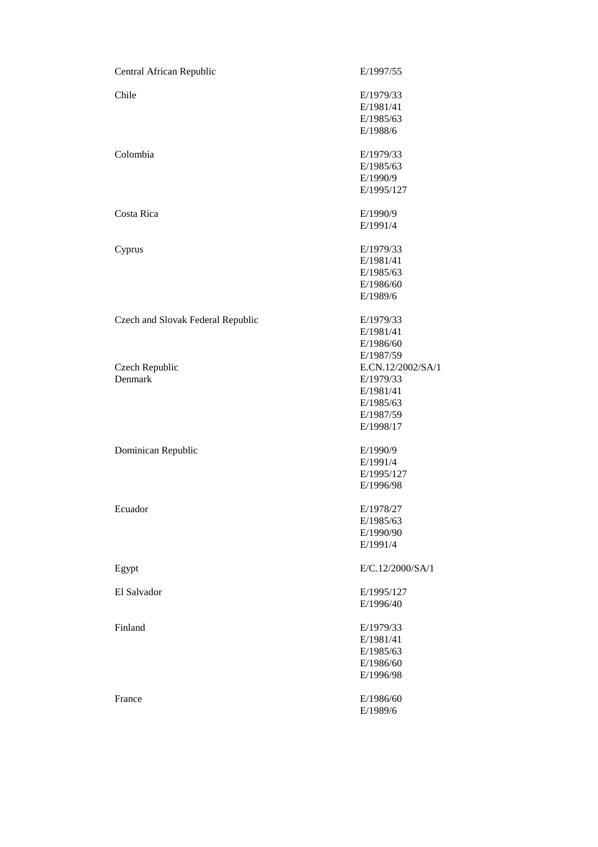| Central African Republic          | E/1997/55         |
|-----------------------------------|-------------------|
| Chile                             | E/1979/33         |
|                                   | E/1981/41         |
|                                   | E/1985/63         |
|                                   | E/1988/6          |
| Colombia                          | E/1979/33         |
|                                   | E/1985/63         |
|                                   | E/1990/9          |
|                                   | E/1995/127        |
| Costa Rica                        | E/1990/9          |
|                                   | E/1991/4          |
| Cyprus                            | E/1979/33         |
|                                   | E/1981/41         |
|                                   | E/1985/63         |
|                                   | E/1986/60         |
|                                   | E/1989/6          |
| Czech and Slovak Federal Republic | E/1979/33         |
|                                   | E/1981/41         |
|                                   | E/1986/60         |
|                                   | E/1987/59         |
| Czech Republic                    | E.CN.12/2002/SA/1 |
| Denmark                           | E/1979/33         |
|                                   | E/1981/41         |
|                                   | E/1985/63         |
|                                   | E/1987/59         |
|                                   | E/1998/17         |
| Dominican Republic                | E/1990/9          |
|                                   | E/1991/4          |
|                                   | E/1995/127        |
|                                   | E/1996/98         |
| Ecuador                           | E/1978/27         |
|                                   | E/1985/63         |
|                                   | E/1990/90         |
|                                   | E/1991/4          |
| Egypt                             | E/C.12/2000/SA/1  |
| El Salvador                       | E/1995/127        |
|                                   | E/1996/40         |
| Finland                           | E/1979/33         |
|                                   | E/1981/41         |
|                                   | E/1985/63         |
|                                   | E/1986/60         |
|                                   | E/1996/98         |
| France                            | E/1986/60         |
|                                   | E/1989/6          |
|                                   |                   |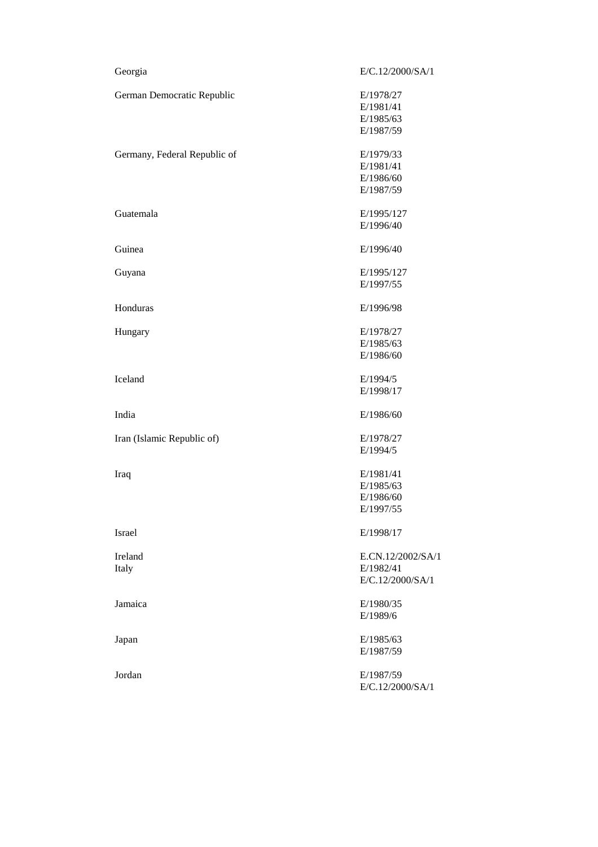| Georgia                      | E/C.12/2000/SA/1  |
|------------------------------|-------------------|
| German Democratic Republic   | E/1978/27         |
|                              | E/1981/41         |
|                              | E/1985/63         |
|                              | E/1987/59         |
| Germany, Federal Republic of | E/1979/33         |
|                              | E/1981/41         |
|                              | E/1986/60         |
|                              | E/1987/59         |
| Guatemala                    | E/1995/127        |
|                              | E/1996/40         |
| Guinea                       | E/1996/40         |
| Guyana                       | E/1995/127        |
|                              | E/1997/55         |
| Honduras                     | E/1996/98         |
| Hungary                      | E/1978/27         |
|                              | E/1985/63         |
|                              | E/1986/60         |
| Iceland                      | E/1994/5          |
|                              | E/1998/17         |
| India                        | E/1986/60         |
| Iran (Islamic Republic of)   | E/1978/27         |
|                              | E/1994/5          |
| Iraq                         | E/1981/41         |
|                              | E/1985/63         |
|                              | E/1986/60         |
|                              | E/1997/55         |
| <b>Israel</b>                | E/1998/17         |
| Ireland                      | E.CN.12/2002/SA/1 |
| Italy                        | E/1982/41         |
|                              | E/C.12/2000/SA/1  |
| Jamaica                      | E/1980/35         |
|                              | E/1989/6          |
| Japan                        | E/1985/63         |
|                              | E/1987/59         |
|                              |                   |
| Jordan                       | E/1987/59         |
|                              | E/C.12/2000/SA/1  |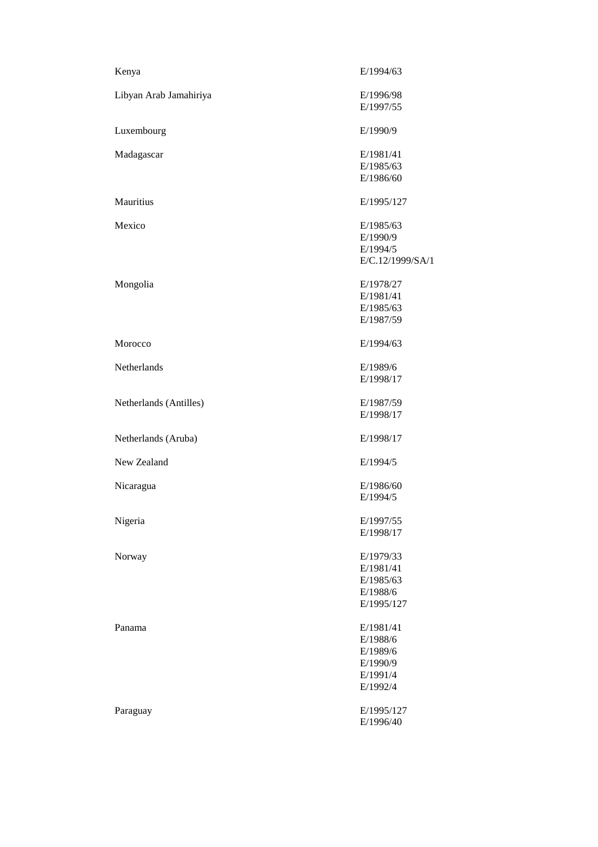| Kenya                  | E/1994/63        |
|------------------------|------------------|
| Libyan Arab Jamahiriya | E/1996/98        |
|                        | E/1997/55        |
| Luxembourg             | E/1990/9         |
| Madagascar             | E/1981/41        |
|                        | E/1985/63        |
|                        | E/1986/60        |
| Mauritius              | E/1995/127       |
| Mexico                 | E/1985/63        |
|                        | E/1990/9         |
|                        | E/1994/5         |
|                        | E/C.12/1999/SA/1 |
| Mongolia               | E/1978/27        |
|                        | E/1981/41        |
|                        | E/1985/63        |
|                        | E/1987/59        |
| Morocco                | E/1994/63        |
| Netherlands            | E/1989/6         |
|                        | E/1998/17        |
| Netherlands (Antilles) | E/1987/59        |
|                        | E/1998/17        |
| Netherlands (Aruba)    | E/1998/17        |
| New Zealand            | E/1994/5         |
| Nicaragua              | E/1986/60        |
|                        | E/1994/5         |
| Nigeria                | E/1997/55        |
|                        | E/1998/17        |
| Norway                 | E/1979/33        |
|                        | E/1981/41        |
|                        | E/1985/63        |
|                        | E/1988/6         |
|                        | E/1995/127       |
| Panama                 | E/1981/41        |
|                        | E/1988/6         |
|                        | E/1989/6         |
|                        | E/1990/9         |
|                        | E/1991/4         |
|                        | E/1992/4         |
| Paraguay               | E/1995/127       |
|                        | E/1996/40        |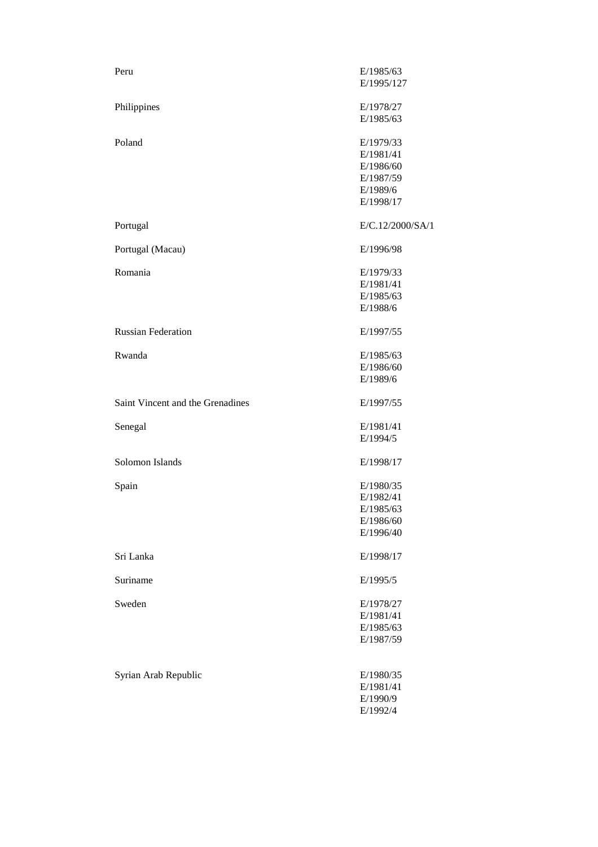| Peru                             | E/1985/63              |
|----------------------------------|------------------------|
|                                  | E/1995/127             |
|                                  |                        |
| Philippines                      | E/1978/27<br>E/1985/63 |
|                                  |                        |
| Poland                           | E/1979/33              |
|                                  | E/1981/41              |
|                                  | E/1986/60              |
|                                  | E/1987/59              |
|                                  | E/1989/6               |
|                                  | E/1998/17              |
| Portugal                         | E/C.12/2000/SA/1       |
| Portugal (Macau)                 | E/1996/98              |
| Romania                          | E/1979/33              |
|                                  | E/1981/41              |
|                                  | E/1985/63              |
|                                  | E/1988/6               |
| <b>Russian Federation</b>        | E/1997/55              |
|                                  |                        |
| Rwanda                           | E/1985/63<br>E/1986/60 |
|                                  | E/1989/6               |
|                                  |                        |
| Saint Vincent and the Grenadines | E/1997/55              |
| Senegal                          | E/1981/41              |
|                                  | E/1994/5               |
| Solomon Islands                  | E/1998/17              |
|                                  |                        |
| Spain                            | E/1980/35<br>E/1982/41 |
|                                  | E/1985/63              |
|                                  | E/1986/60              |
|                                  | E/1996/40              |
| Sri Lanka                        | E/1998/17              |
|                                  |                        |
| Suriname                         | E/1995/5               |
| Sweden                           | E/1978/27              |
|                                  | E/1981/41              |
|                                  | E/1985/63              |
|                                  | E/1987/59              |
|                                  |                        |
| Syrian Arab Republic             | E/1980/35              |
|                                  | E/1981/41              |
|                                  | E/1990/9               |
|                                  | E/1992/4               |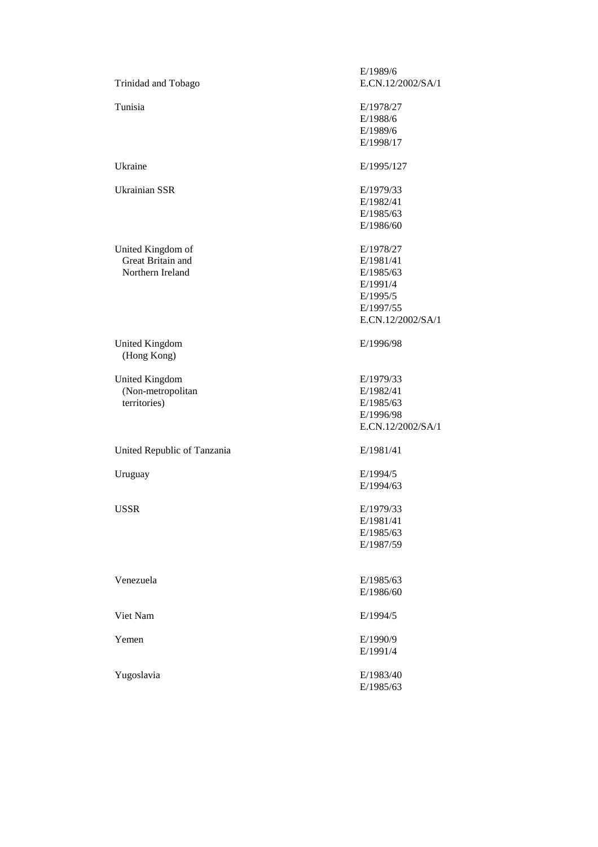|                                      | E/1989/6          |
|--------------------------------------|-------------------|
| Trinidad and Tobago                  | E.CN.12/2002/SA/1 |
| Tunisia                              | E/1978/27         |
|                                      | E/1988/6          |
|                                      | E/1989/6          |
|                                      | E/1998/17         |
| Ukraine                              | E/1995/127        |
| <b>Ukrainian SSR</b>                 | E/1979/33         |
|                                      | E/1982/41         |
|                                      | E/1985/63         |
|                                      | E/1986/60         |
| United Kingdom of                    | E/1978/27         |
| Great Britain and                    | E/1981/41         |
| Northern Ireland                     | E/1985/63         |
|                                      | E/1991/4          |
|                                      | E/1995/5          |
|                                      | E/1997/55         |
|                                      | E.CN.12/2002/SA/1 |
| <b>United Kingdom</b><br>(Hong Kong) | E/1996/98         |
| <b>United Kingdom</b>                | E/1979/33         |
| (Non-metropolitan                    | E/1982/41         |
| territories)                         | E/1985/63         |
|                                      | E/1996/98         |
|                                      | E.CN.12/2002/SA/1 |
| United Republic of Tanzania          | E/1981/41         |
| Uruguay                              | E/1994/5          |
|                                      | E/1994/63         |
| <b>USSR</b>                          | E/1979/33         |
|                                      | E/1981/41         |
|                                      | E/1985/63         |
|                                      | E/1987/59         |
|                                      |                   |
| Venezuela                            | E/1985/63         |
|                                      | E/1986/60         |
| Viet Nam                             | E/1994/5          |
| Yemen                                | E/1990/9          |
|                                      | E/1991/4          |
| Yugoslavia                           | E/1983/40         |
|                                      | E/1985/63         |
|                                      |                   |